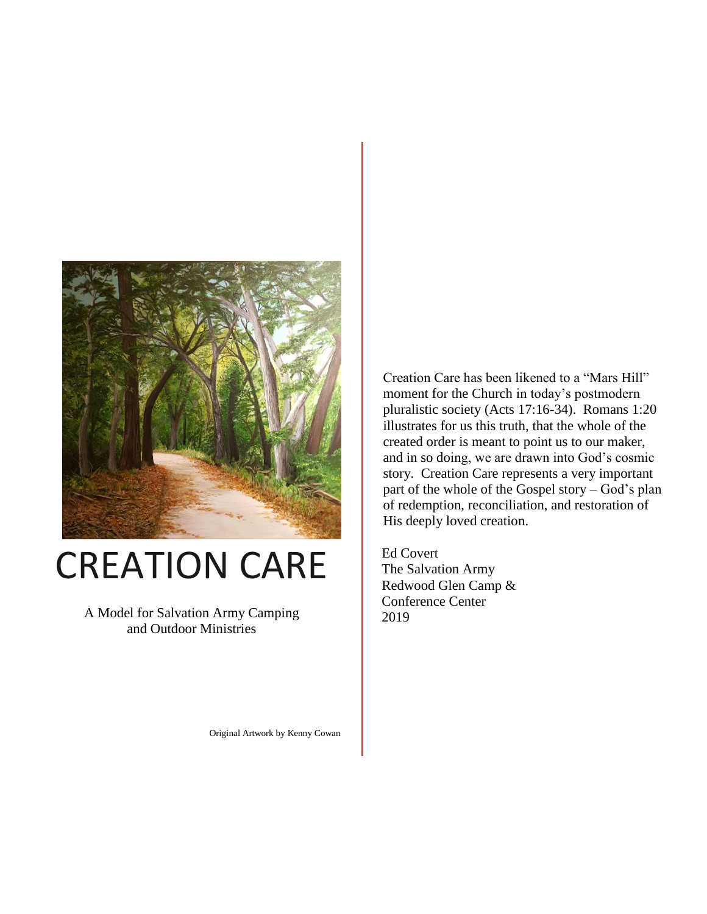

# CREATION CARE

A Model for Salvation Army Camping and Outdoor Ministries

Creation Care has been likened to a "Mars Hill" moment for the Church in today's postmodern pluralistic society (Acts 17:16-34). Romans 1:20 illustrates for us this truth, that the whole of the created order is meant to point us to our maker, and in so doing, we are drawn into God's cosmic story. Creation Care represents a very important part of the whole of the Gospel story – God's plan of redemption, reconciliation, and restoration of His deeply loved creation.

Ed Covert The Salvation Army Redwood Glen Camp & Conference Center 2019

Original Artwork by Kenny Cowan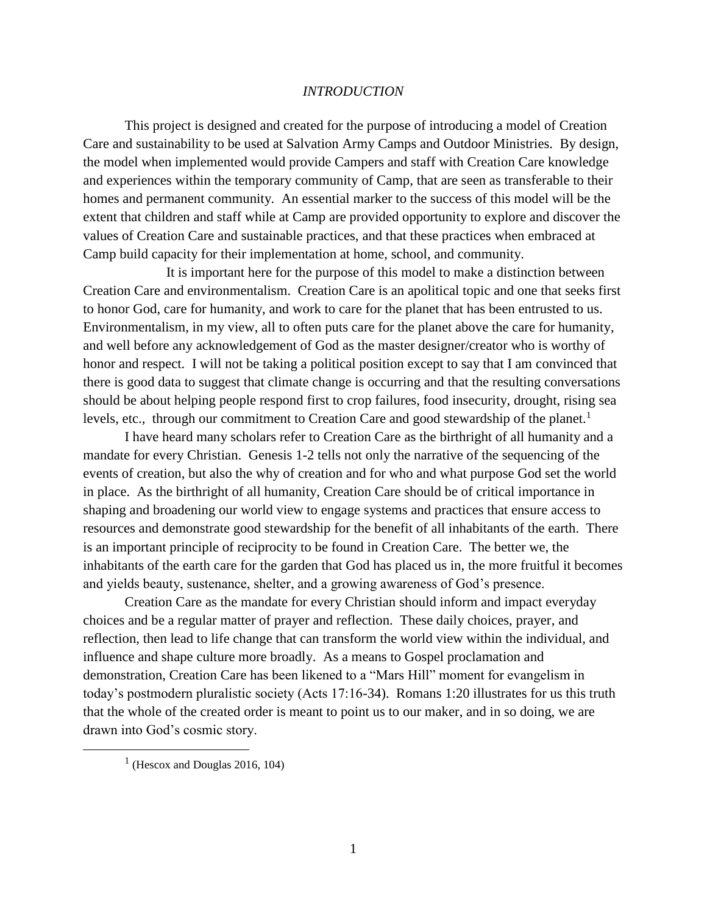#### *INTRODUCTION*

This project is designed and created for the purpose of introducing a model of Creation Care and sustainability to be used at Salvation Army Camps and Outdoor Ministries. By design, the model when implemented would provide Campers and staff with Creation Care knowledge and experiences within the temporary community of Camp, that are seen as transferable to their homes and permanent community. An essential marker to the success of this model will be the extent that children and staff while at Camp are provided opportunity to explore and discover the values of Creation Care and sustainable practices, and that these practices when embraced at Camp build capacity for their implementation at home, school, and community.

It is important here for the purpose of this model to make a distinction between Creation Care and environmentalism. Creation Care is an apolitical topic and one that seeks first to honor God, care for humanity, and work to care for the planet that has been entrusted to us. Environmentalism, in my view, all to often puts care for the planet above the care for humanity, and well before any acknowledgement of God as the master designer/creator who is worthy of honor and respect. I will not be taking a political position except to say that I am convinced that there is good data to suggest that climate change is occurring and that the resulting conversations should be about helping people respond first to crop failures, food insecurity, drought, rising sea levels, etc., through our commitment to Creation Care and good stewardship of the planet.<sup>1</sup>

I have heard many scholars refer to Creation Care as the birthright of all humanity and a mandate for every Christian. Genesis 1-2 tells not only the narrative of the sequencing of the events of creation, but also the why of creation and for who and what purpose God set the world in place. As the birthright of all humanity, Creation Care should be of critical importance in shaping and broadening our world view to engage systems and practices that ensure access to resources and demonstrate good stewardship for the benefit of all inhabitants of the earth. There is an important principle of reciprocity to be found in Creation Care. The better we, the inhabitants of the earth care for the garden that God has placed us in, the more fruitful it becomes and yields beauty, sustenance, shelter, and a growing awareness of God's presence.

Creation Care as the mandate for every Christian should inform and impact everyday choices and be a regular matter of prayer and reflection. These daily choices, prayer, and reflection, then lead to life change that can transform the world view within the individual, and influence and shape culture more broadly. As a means to Gospel proclamation and demonstration, Creation Care has been likened to a "Mars Hill" moment for evangelism in today's postmodern pluralistic society (Acts 17:16-34). Romans 1:20 illustrates for us this truth that the whole of the created order is meant to point us to our maker, and in so doing, we are drawn into God's cosmic story.

 $<sup>1</sup>$  (Hescox and Douglas 2016, 104)</sup>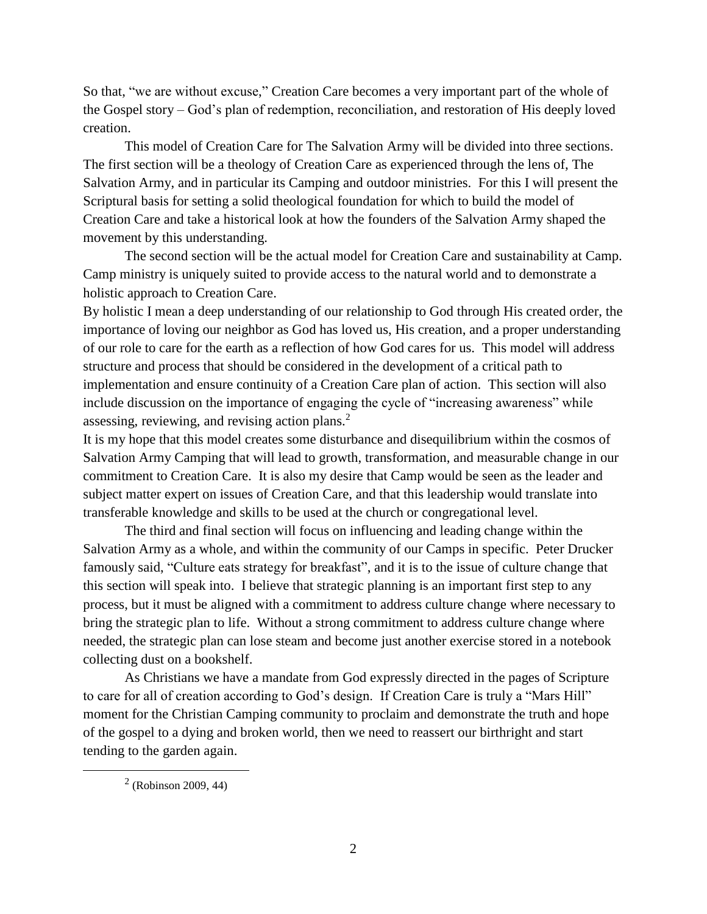So that, "we are without excuse," Creation Care becomes a very important part of the whole of the Gospel story – God's plan of redemption, reconciliation, and restoration of His deeply loved creation.

This model of Creation Care for The Salvation Army will be divided into three sections. The first section will be a theology of Creation Care as experienced through the lens of, The Salvation Army, and in particular its Camping and outdoor ministries. For this I will present the Scriptural basis for setting a solid theological foundation for which to build the model of Creation Care and take a historical look at how the founders of the Salvation Army shaped the movement by this understanding.

The second section will be the actual model for Creation Care and sustainability at Camp. Camp ministry is uniquely suited to provide access to the natural world and to demonstrate a holistic approach to Creation Care.

By holistic I mean a deep understanding of our relationship to God through His created order, the importance of loving our neighbor as God has loved us, His creation, and a proper understanding of our role to care for the earth as a reflection of how God cares for us. This model will address structure and process that should be considered in the development of a critical path to implementation and ensure continuity of a Creation Care plan of action. This section will also include discussion on the importance of engaging the cycle of "increasing awareness" while assessing, reviewing, and revising action plans. $2$ 

It is my hope that this model creates some disturbance and disequilibrium within the cosmos of Salvation Army Camping that will lead to growth, transformation, and measurable change in our commitment to Creation Care. It is also my desire that Camp would be seen as the leader and subject matter expert on issues of Creation Care, and that this leadership would translate into transferable knowledge and skills to be used at the church or congregational level.

The third and final section will focus on influencing and leading change within the Salvation Army as a whole, and within the community of our Camps in specific. Peter Drucker famously said, "Culture eats strategy for breakfast", and it is to the issue of culture change that this section will speak into. I believe that strategic planning is an important first step to any process, but it must be aligned with a commitment to address culture change where necessary to bring the strategic plan to life. Without a strong commitment to address culture change where needed, the strategic plan can lose steam and become just another exercise stored in a notebook collecting dust on a bookshelf.

As Christians we have a mandate from God expressly directed in the pages of Scripture to care for all of creation according to God's design. If Creation Care is truly a "Mars Hill" moment for the Christian Camping community to proclaim and demonstrate the truth and hope of the gospel to a dying and broken world, then we need to reassert our birthright and start tending to the garden again.

 $2$  (Robinson 2009, 44)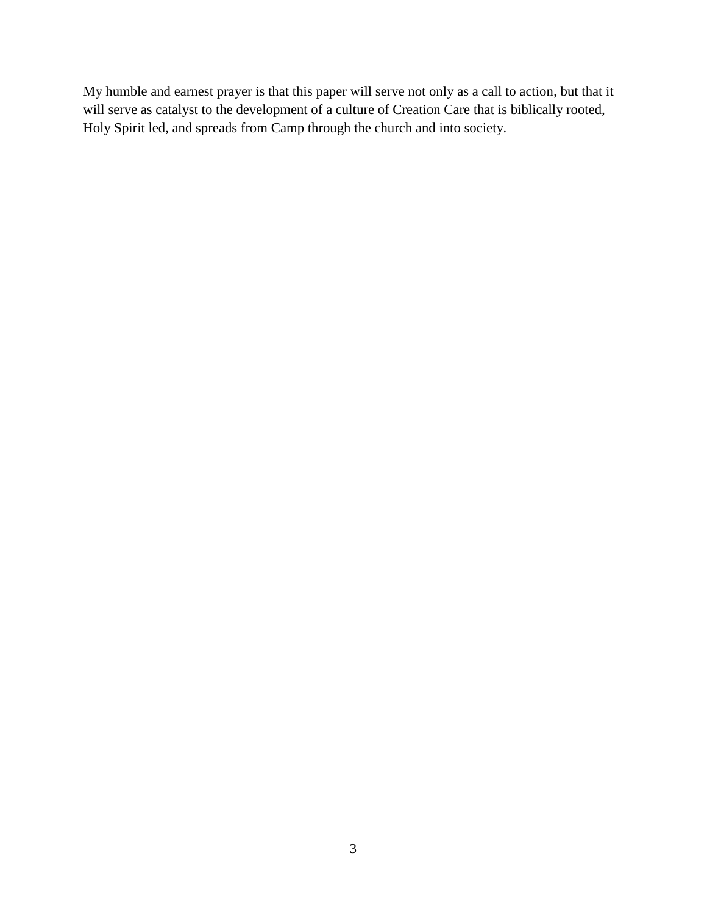My humble and earnest prayer is that this paper will serve not only as a call to action, but that it will serve as catalyst to the development of a culture of Creation Care that is biblically rooted, Holy Spirit led, and spreads from Camp through the church and into society.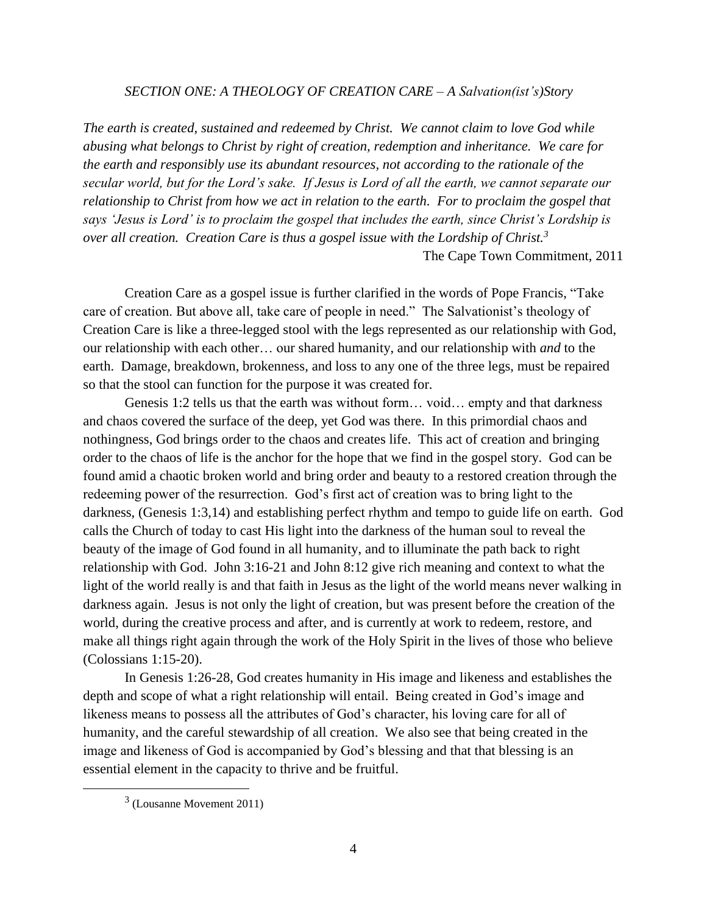#### *SECTION ONE: A THEOLOGY OF CREATION CARE – A Salvation(ist's)Story*

*The earth is created, sustained and redeemed by Christ. We cannot claim to love God while abusing what belongs to Christ by right of creation, redemption and inheritance. We care for the earth and responsibly use its abundant resources, not according to the rationale of the secular world, but for the Lord's sake. If Jesus is Lord of all the earth, we cannot separate our relationship to Christ from how we act in relation to the earth. For to proclaim the gospel that says 'Jesus is Lord' is to proclaim the gospel that includes the earth, since Christ's Lordship is over all creation. Creation Care is thus a gospel issue with the Lordship of Christ.<sup>3</sup>*

The Cape Town Commitment, 2011

Creation Care as a gospel issue is further clarified in the words of Pope Francis, "Take care of creation. But above all, take care of people in need." The Salvationist's theology of Creation Care is like a three-legged stool with the legs represented as our relationship with God, our relationship with each other… our shared humanity, and our relationship with *and* to the earth. Damage, breakdown, brokenness, and loss to any one of the three legs, must be repaired so that the stool can function for the purpose it was created for.

Genesis 1:2 tells us that the earth was without form… void… empty and that darkness and chaos covered the surface of the deep, yet God was there. In this primordial chaos and nothingness, God brings order to the chaos and creates life. This act of creation and bringing order to the chaos of life is the anchor for the hope that we find in the gospel story. God can be found amid a chaotic broken world and bring order and beauty to a restored creation through the redeeming power of the resurrection. God's first act of creation was to bring light to the darkness, (Genesis 1:3,14) and establishing perfect rhythm and tempo to guide life on earth. God calls the Church of today to cast His light into the darkness of the human soul to reveal the beauty of the image of God found in all humanity, and to illuminate the path back to right relationship with God. John 3:16-21 and John 8:12 give rich meaning and context to what the light of the world really is and that faith in Jesus as the light of the world means never walking in darkness again. Jesus is not only the light of creation, but was present before the creation of the world, during the creative process and after, and is currently at work to redeem, restore, and make all things right again through the work of the Holy Spirit in the lives of those who believe (Colossians 1:15-20).

In Genesis 1:26-28, God creates humanity in His image and likeness and establishes the depth and scope of what a right relationship will entail. Being created in God's image and likeness means to possess all the attributes of God's character, his loving care for all of humanity, and the careful stewardship of all creation. We also see that being created in the image and likeness of God is accompanied by God's blessing and that that blessing is an essential element in the capacity to thrive and be fruitful.

<sup>3</sup> (Lousanne Movement 2011)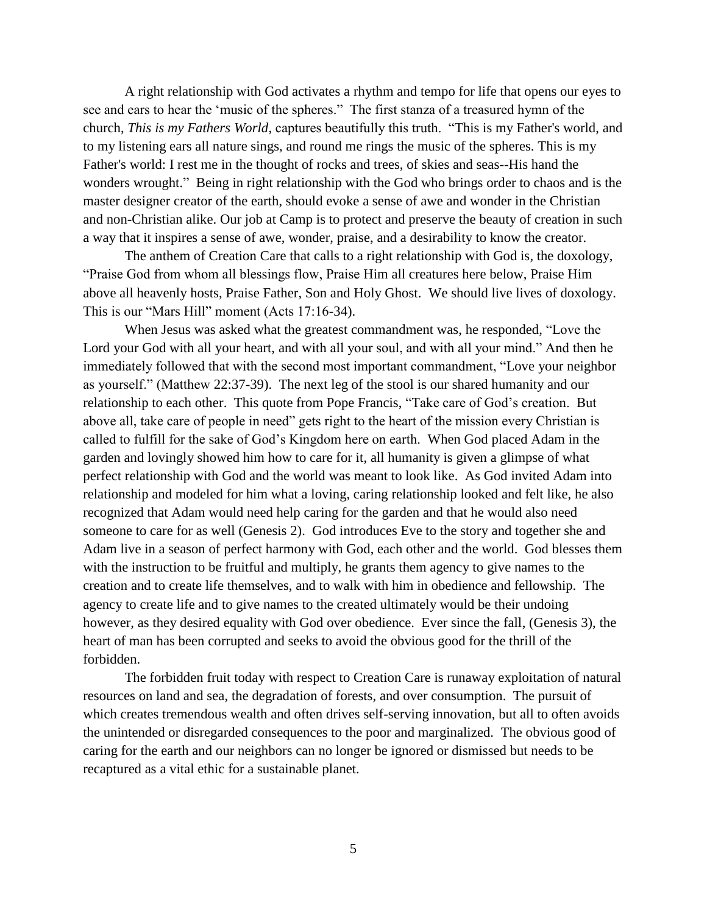A right relationship with God activates a rhythm and tempo for life that opens our eyes to see and ears to hear the 'music of the spheres." The first stanza of a treasured hymn of the church, *This is my Fathers World,* captures beautifully this truth. "This is my Father's world, and to my listening ears all nature sings, and round me rings the music of the spheres. This is my Father's world: I rest me in the thought of rocks and trees, of skies and seas--His hand the wonders wrought." Being in right relationship with the God who brings order to chaos and is the master designer creator of the earth, should evoke a sense of awe and wonder in the Christian and non-Christian alike. Our job at Camp is to protect and preserve the beauty of creation in such a way that it inspires a sense of awe, wonder, praise, and a desirability to know the creator.

The anthem of Creation Care that calls to a right relationship with God is, the doxology, "Praise God from whom all blessings flow, Praise Him all creatures here below, Praise Him above all heavenly hosts, Praise Father, Son and Holy Ghost. We should live lives of doxology. This is our "Mars Hill" moment (Acts 17:16-34).

When Jesus was asked what the greatest commandment was, he responded, "Love the Lord your God with all your heart, and with all your soul, and with all your mind." And then he immediately followed that with the second most important commandment, "Love your neighbor as yourself." (Matthew 22:37-39). The next leg of the stool is our shared humanity and our relationship to each other. This quote from Pope Francis, "Take care of God's creation. But above all, take care of people in need" gets right to the heart of the mission every Christian is called to fulfill for the sake of God's Kingdom here on earth. When God placed Adam in the garden and lovingly showed him how to care for it, all humanity is given a glimpse of what perfect relationship with God and the world was meant to look like. As God invited Adam into relationship and modeled for him what a loving, caring relationship looked and felt like, he also recognized that Adam would need help caring for the garden and that he would also need someone to care for as well (Genesis 2). God introduces Eve to the story and together she and Adam live in a season of perfect harmony with God, each other and the world. God blesses them with the instruction to be fruitful and multiply, he grants them agency to give names to the creation and to create life themselves, and to walk with him in obedience and fellowship. The agency to create life and to give names to the created ultimately would be their undoing however, as they desired equality with God over obedience. Ever since the fall, (Genesis 3), the heart of man has been corrupted and seeks to avoid the obvious good for the thrill of the forbidden.

The forbidden fruit today with respect to Creation Care is runaway exploitation of natural resources on land and sea, the degradation of forests, and over consumption. The pursuit of which creates tremendous wealth and often drives self-serving innovation, but all to often avoids the unintended or disregarded consequences to the poor and marginalized. The obvious good of caring for the earth and our neighbors can no longer be ignored or dismissed but needs to be recaptured as a vital ethic for a sustainable planet.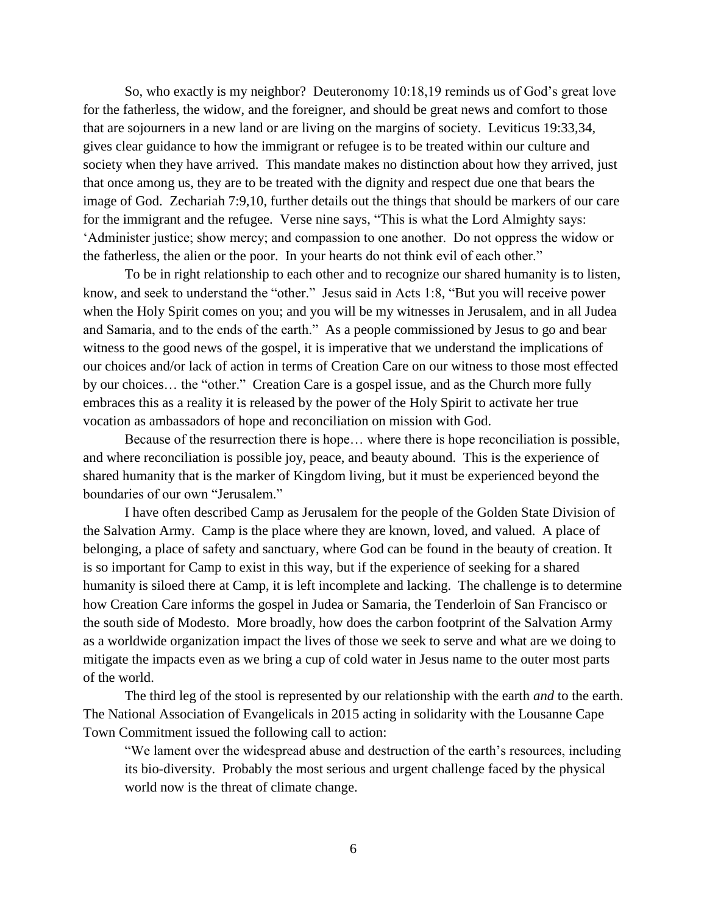So, who exactly is my neighbor? Deuteronomy 10:18,19 reminds us of God's great love for the fatherless, the widow, and the foreigner, and should be great news and comfort to those that are sojourners in a new land or are living on the margins of society. Leviticus 19:33,34, gives clear guidance to how the immigrant or refugee is to be treated within our culture and society when they have arrived. This mandate makes no distinction about how they arrived, just that once among us, they are to be treated with the dignity and respect due one that bears the image of God. Zechariah 7:9,10, further details out the things that should be markers of our care for the immigrant and the refugee. Verse nine says, "This is what the Lord Almighty says: 'Administer justice; show mercy; and compassion to one another. Do not oppress the widow or the fatherless, the alien or the poor. In your hearts do not think evil of each other."

To be in right relationship to each other and to recognize our shared humanity is to listen, know, and seek to understand the "other." Jesus said in Acts 1:8, "But you will receive power when the Holy Spirit comes on you; and you will be my witnesses in Jerusalem, and in all Judea and Samaria, and to the ends of the earth." As a people commissioned by Jesus to go and bear witness to the good news of the gospel, it is imperative that we understand the implications of our choices and/or lack of action in terms of Creation Care on our witness to those most effected by our choices… the "other." Creation Care is a gospel issue, and as the Church more fully embraces this as a reality it is released by the power of the Holy Spirit to activate her true vocation as ambassadors of hope and reconciliation on mission with God.

Because of the resurrection there is hope… where there is hope reconciliation is possible, and where reconciliation is possible joy, peace, and beauty abound. This is the experience of shared humanity that is the marker of Kingdom living, but it must be experienced beyond the boundaries of our own "Jerusalem."

I have often described Camp as Jerusalem for the people of the Golden State Division of the Salvation Army. Camp is the place where they are known, loved, and valued. A place of belonging, a place of safety and sanctuary, where God can be found in the beauty of creation. It is so important for Camp to exist in this way, but if the experience of seeking for a shared humanity is siloed there at Camp, it is left incomplete and lacking. The challenge is to determine how Creation Care informs the gospel in Judea or Samaria, the Tenderloin of San Francisco or the south side of Modesto. More broadly, how does the carbon footprint of the Salvation Army as a worldwide organization impact the lives of those we seek to serve and what are we doing to mitigate the impacts even as we bring a cup of cold water in Jesus name to the outer most parts of the world.

The third leg of the stool is represented by our relationship with the earth *and* to the earth. The National Association of Evangelicals in 2015 acting in solidarity with the Lousanne Cape Town Commitment issued the following call to action:

"We lament over the widespread abuse and destruction of the earth's resources, including its bio-diversity. Probably the most serious and urgent challenge faced by the physical world now is the threat of climate change.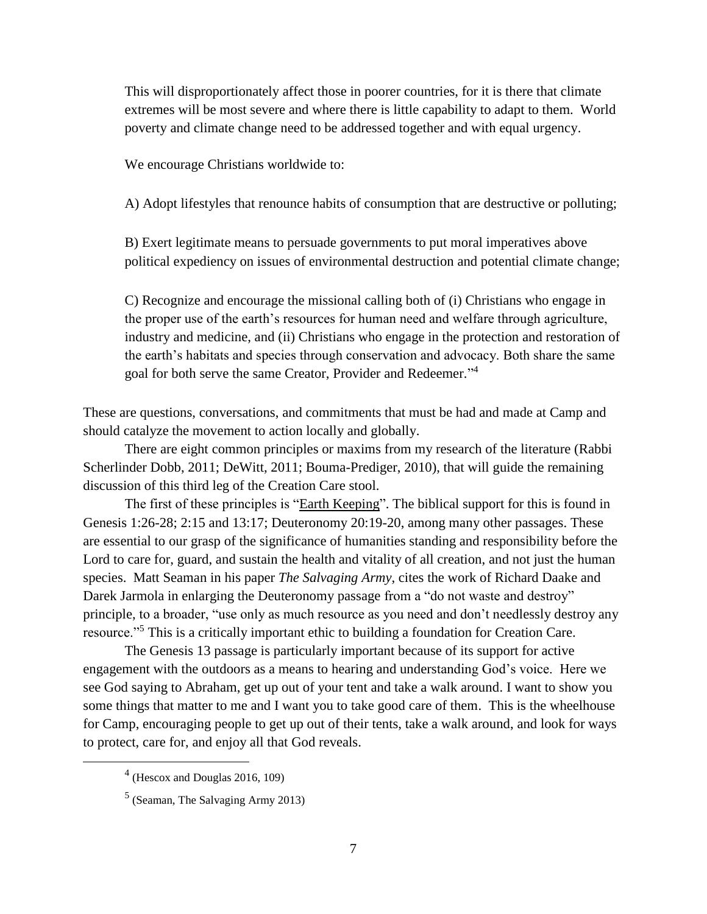This will disproportionately affect those in poorer countries, for it is there that climate extremes will be most severe and where there is little capability to adapt to them. World poverty and climate change need to be addressed together and with equal urgency.

We encourage Christians worldwide to:

A) Adopt lifestyles that renounce habits of consumption that are destructive or polluting;

B) Exert legitimate means to persuade governments to put moral imperatives above political expediency on issues of environmental destruction and potential climate change;

C) Recognize and encourage the missional calling both of (i) Christians who engage in the proper use of the earth's resources for human need and welfare through agriculture, industry and medicine, and (ii) Christians who engage in the protection and restoration of the earth's habitats and species through conservation and advocacy. Both share the same goal for both serve the same Creator, Provider and Redeemer." 4

These are questions, conversations, and commitments that must be had and made at Camp and should catalyze the movement to action locally and globally.

There are eight common principles or maxims from my research of the literature (Rabbi Scherlinder Dobb, 2011; DeWitt, 2011; Bouma-Prediger, 2010), that will guide the remaining discussion of this third leg of the Creation Care stool.

The first of these principles is "Earth Keeping". The biblical support for this is found in Genesis 1:26-28; 2:15 and 13:17; Deuteronomy 20:19-20, among many other passages. These are essential to our grasp of the significance of humanities standing and responsibility before the Lord to care for, guard, and sustain the health and vitality of all creation, and not just the human species. Matt Seaman in his paper *The Salvaging Army*, cites the work of Richard Daake and Darek Jarmola in enlarging the Deuteronomy passage from a "do not waste and destroy" principle, to a broader, "use only as much resource as you need and don't needlessly destroy any resource."<sup>5</sup> This is a critically important ethic to building a foundation for Creation Care.

The Genesis 13 passage is particularly important because of its support for active engagement with the outdoors as a means to hearing and understanding God's voice. Here we see God saying to Abraham, get up out of your tent and take a walk around. I want to show you some things that matter to me and I want you to take good care of them. This is the wheelhouse for Camp, encouraging people to get up out of their tents, take a walk around, and look for ways to protect, care for, and enjoy all that God reveals.

<sup>4</sup> (Hescox and Douglas 2016, 109)

<sup>5</sup> (Seaman, The Salvaging Army 2013)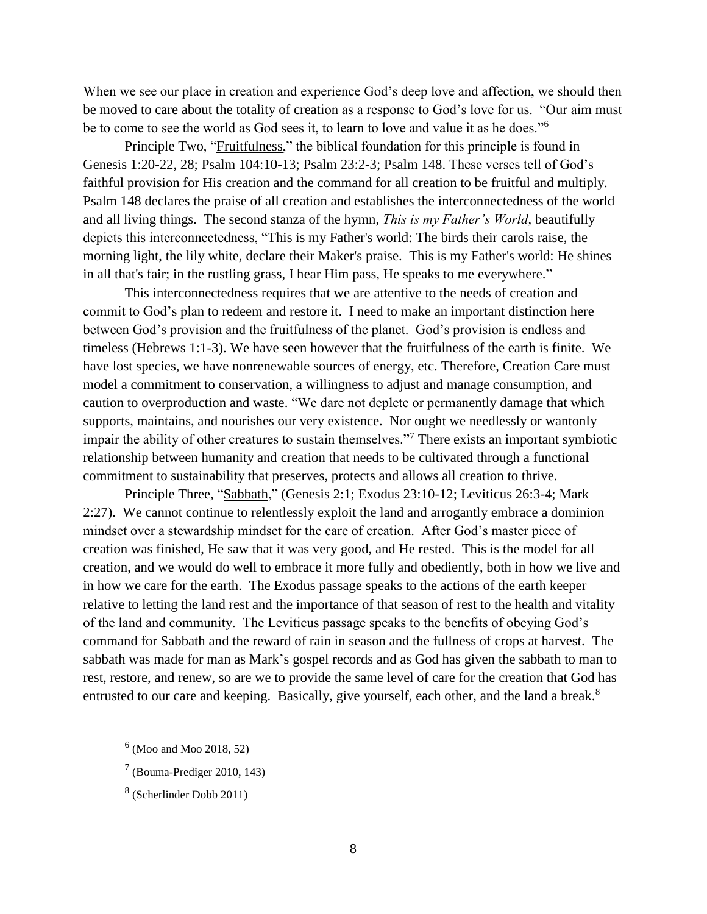When we see our place in creation and experience God's deep love and affection, we should then be moved to care about the totality of creation as a response to God's love for us. "Our aim must be to come to see the world as God sees it, to learn to love and value it as he does."<sup>6</sup>

Principle Two, "Fruitfulness," the biblical foundation for this principle is found in Genesis 1:20-22, 28; Psalm 104:10-13; Psalm 23:2-3; Psalm 148. These verses tell of God's faithful provision for His creation and the command for all creation to be fruitful and multiply. Psalm 148 declares the praise of all creation and establishes the interconnectedness of the world and all living things. The second stanza of the hymn, *This is my Father's World*, beautifully depicts this interconnectedness, "This is my Father's world: The birds their carols raise, the morning light, the lily white, declare their Maker's praise. This is my Father's world: He shines in all that's fair; in the rustling grass, I hear Him pass, He speaks to me everywhere."

This interconnectedness requires that we are attentive to the needs of creation and commit to God's plan to redeem and restore it. I need to make an important distinction here between God's provision and the fruitfulness of the planet. God's provision is endless and timeless (Hebrews 1:1-3). We have seen however that the fruitfulness of the earth is finite. We have lost species, we have nonrenewable sources of energy, etc. Therefore, Creation Care must model a commitment to conservation, a willingness to adjust and manage consumption, and caution to overproduction and waste. "We dare not deplete or permanently damage that which supports, maintains, and nourishes our very existence. Nor ought we needlessly or wantonly impair the ability of other creatures to sustain themselves."<sup>7</sup> There exists an important symbiotic relationship between humanity and creation that needs to be cultivated through a functional commitment to sustainability that preserves, protects and allows all creation to thrive.

Principle Three, "Sabbath," (Genesis 2:1; Exodus 23:10-12; Leviticus 26:3-4; Mark 2:27). We cannot continue to relentlessly exploit the land and arrogantly embrace a dominion mindset over a stewardship mindset for the care of creation. After God's master piece of creation was finished, He saw that it was very good, and He rested. This is the model for all creation, and we would do well to embrace it more fully and obediently, both in how we live and in how we care for the earth. The Exodus passage speaks to the actions of the earth keeper relative to letting the land rest and the importance of that season of rest to the health and vitality of the land and community. The Leviticus passage speaks to the benefits of obeying God's command for Sabbath and the reward of rain in season and the fullness of crops at harvest. The sabbath was made for man as Mark's gospel records and as God has given the sabbath to man to rest, restore, and renew, so are we to provide the same level of care for the creation that God has entrusted to our care and keeping. Basically, give yourself, each other, and the land a break.<sup>8</sup>

<sup>&</sup>lt;sup>6</sup> (Moo and Moo 2018, 52)

 $<sup>7</sup>$  (Bouma-Prediger 2010, 143)</sup>

<sup>8</sup> (Scherlinder Dobb 2011)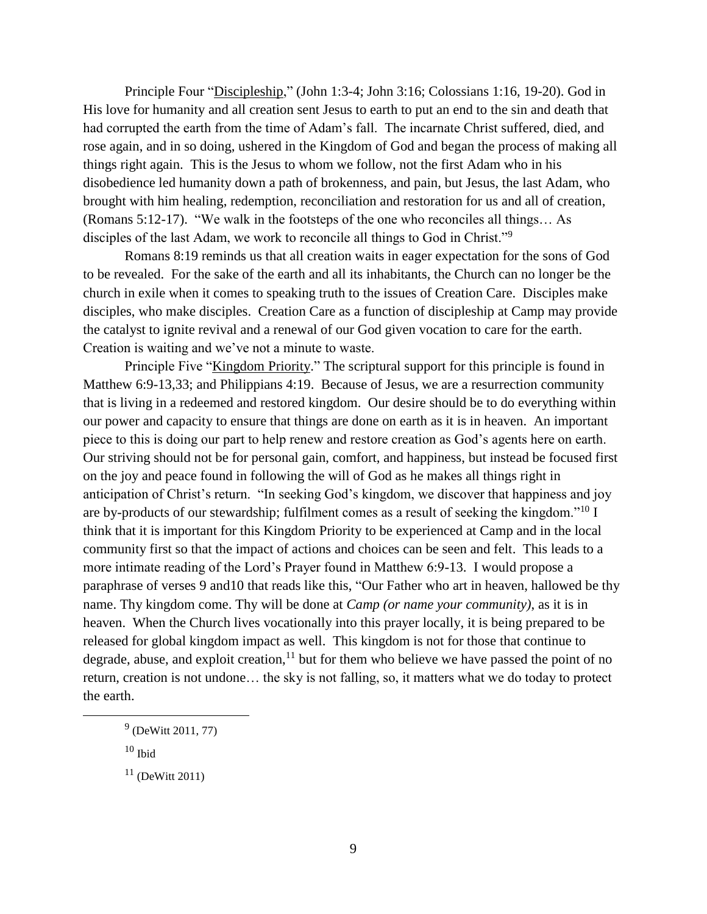Principle Four "Discipleship," (John 1:3-4; John 3:16; Colossians 1:16, 19-20). God in His love for humanity and all creation sent Jesus to earth to put an end to the sin and death that had corrupted the earth from the time of Adam's fall. The incarnate Christ suffered, died, and rose again, and in so doing, ushered in the Kingdom of God and began the process of making all things right again. This is the Jesus to whom we follow, not the first Adam who in his disobedience led humanity down a path of brokenness, and pain, but Jesus, the last Adam, who brought with him healing, redemption, reconciliation and restoration for us and all of creation, (Romans 5:12-17). "We walk in the footsteps of the one who reconciles all things… As disciples of the last Adam, we work to reconcile all things to God in Christ."<sup>9</sup>

Romans 8:19 reminds us that all creation waits in eager expectation for the sons of God to be revealed. For the sake of the earth and all its inhabitants, the Church can no longer be the church in exile when it comes to speaking truth to the issues of Creation Care. Disciples make disciples, who make disciples. Creation Care as a function of discipleship at Camp may provide the catalyst to ignite revival and a renewal of our God given vocation to care for the earth. Creation is waiting and we've not a minute to waste.

Principle Five "Kingdom Priority." The scriptural support for this principle is found in Matthew 6:9-13,33; and Philippians 4:19. Because of Jesus, we are a resurrection community that is living in a redeemed and restored kingdom. Our desire should be to do everything within our power and capacity to ensure that things are done on earth as it is in heaven. An important piece to this is doing our part to help renew and restore creation as God's agents here on earth. Our striving should not be for personal gain, comfort, and happiness, but instead be focused first on the joy and peace found in following the will of God as he makes all things right in anticipation of Christ's return. "In seeking God's kingdom, we discover that happiness and joy are by-products of our stewardship; fulfilment comes as a result of seeking the kingdom."<sup>10</sup> I think that it is important for this Kingdom Priority to be experienced at Camp and in the local community first so that the impact of actions and choices can be seen and felt. This leads to a more intimate reading of the Lord's Prayer found in Matthew 6:9-13. I would propose a paraphrase of verses 9 and10 that reads like this, "Our Father who art in heaven, hallowed be thy name. Thy kingdom come. Thy will be done at *Camp (or name your community)*, as it is in heaven. When the Church lives vocationally into this prayer locally, it is being prepared to be released for global kingdom impact as well. This kingdom is not for those that continue to degrade, abuse, and exploit creation, $11$  but for them who believe we have passed the point of no return, creation is not undone… the sky is not falling, so, it matters what we do today to protect the earth.

 $9$  (DeWitt 2011, 77)

 $10$  Ibid

 $11$  (DeWitt 2011)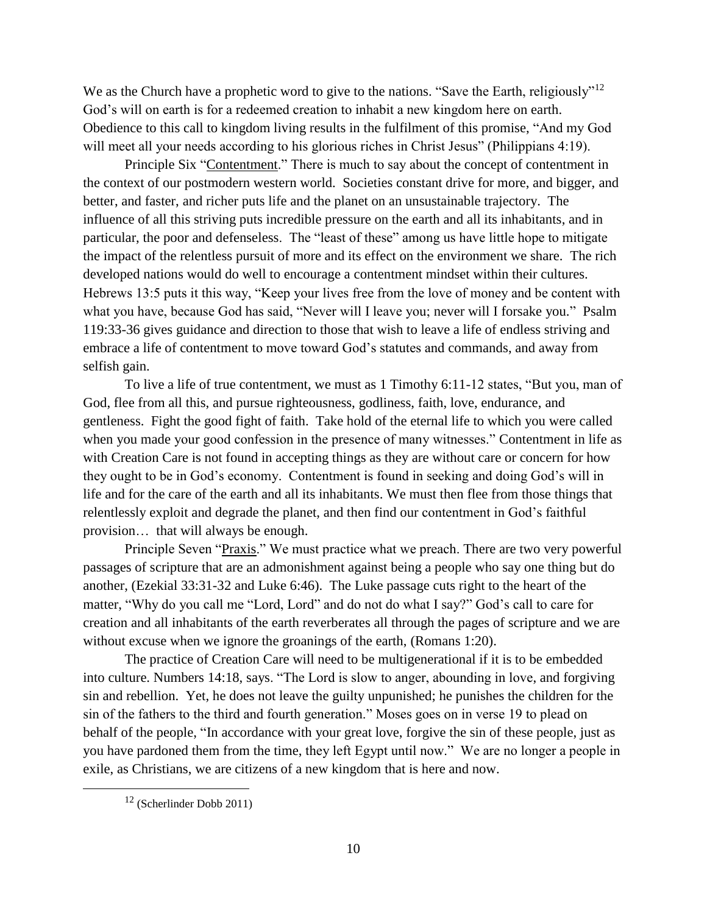We as the Church have a prophetic word to give to the nations. "Save the Earth, religiously"<sup>12</sup> God's will on earth is for a redeemed creation to inhabit a new kingdom here on earth. Obedience to this call to kingdom living results in the fulfilment of this promise, "And my God will meet all your needs according to his glorious riches in Christ Jesus" (Philippians 4:19).

Principle Six "Contentment." There is much to say about the concept of contentment in the context of our postmodern western world. Societies constant drive for more, and bigger, and better, and faster, and richer puts life and the planet on an unsustainable trajectory. The influence of all this striving puts incredible pressure on the earth and all its inhabitants, and in particular, the poor and defenseless. The "least of these" among us have little hope to mitigate the impact of the relentless pursuit of more and its effect on the environment we share. The rich developed nations would do well to encourage a contentment mindset within their cultures. Hebrews 13:5 puts it this way, "Keep your lives free from the love of money and be content with what you have, because God has said, "Never will I leave you; never will I forsake you." Psalm 119:33-36 gives guidance and direction to those that wish to leave a life of endless striving and embrace a life of contentment to move toward God's statutes and commands, and away from selfish gain.

To live a life of true contentment, we must as 1 Timothy 6:11-12 states, "But you, man of God, flee from all this, and pursue righteousness, godliness, faith, love, endurance, and gentleness. Fight the good fight of faith. Take hold of the eternal life to which you were called when you made your good confession in the presence of many witnesses." Contentment in life as with Creation Care is not found in accepting things as they are without care or concern for how they ought to be in God's economy. Contentment is found in seeking and doing God's will in life and for the care of the earth and all its inhabitants. We must then flee from those things that relentlessly exploit and degrade the planet, and then find our contentment in God's faithful provision… that will always be enough.

Principle Seven "Praxis." We must practice what we preach. There are two very powerful passages of scripture that are an admonishment against being a people who say one thing but do another, (Ezekial 33:31-32 and Luke 6:46). The Luke passage cuts right to the heart of the matter, "Why do you call me "Lord, Lord" and do not do what I say?" God's call to care for creation and all inhabitants of the earth reverberates all through the pages of scripture and we are without excuse when we ignore the groanings of the earth, (Romans 1:20).

The practice of Creation Care will need to be multigenerational if it is to be embedded into culture. Numbers 14:18, says. "The Lord is slow to anger, abounding in love, and forgiving sin and rebellion. Yet, he does not leave the guilty unpunished; he punishes the children for the sin of the fathers to the third and fourth generation." Moses goes on in verse 19 to plead on behalf of the people, "In accordance with your great love, forgive the sin of these people, just as you have pardoned them from the time, they left Egypt until now." We are no longer a people in exile, as Christians, we are citizens of a new kingdom that is here and now.

<sup>12</sup> (Scherlinder Dobb 2011)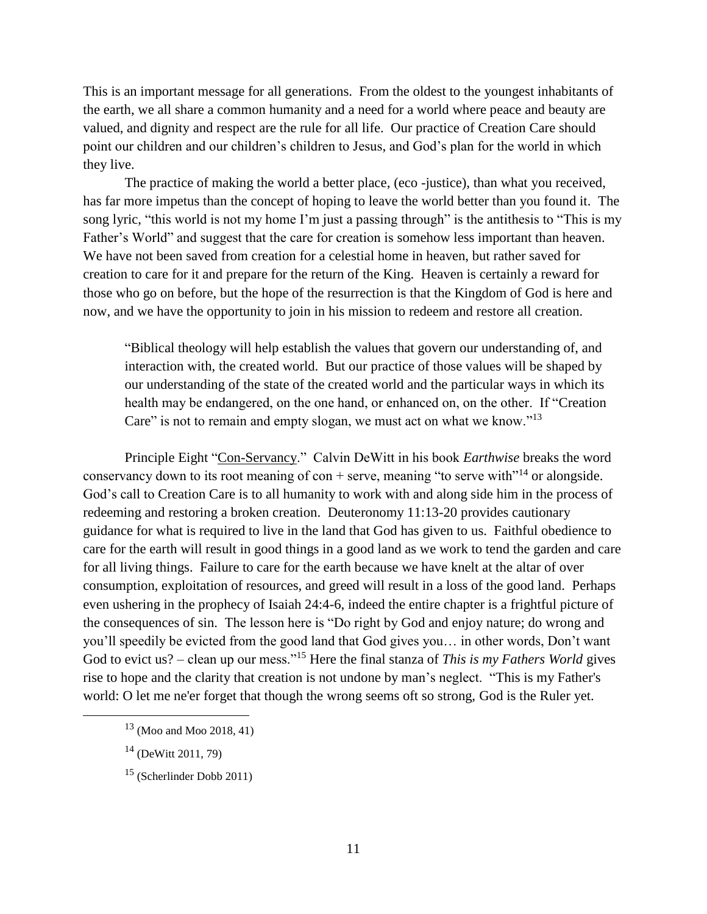This is an important message for all generations. From the oldest to the youngest inhabitants of the earth, we all share a common humanity and a need for a world where peace and beauty are valued, and dignity and respect are the rule for all life. Our practice of Creation Care should point our children and our children's children to Jesus, and God's plan for the world in which they live.

The practice of making the world a better place, (eco -justice), than what you received, has far more impetus than the concept of hoping to leave the world better than you found it. The song lyric, "this world is not my home I'm just a passing through" is the antithesis to "This is my Father's World" and suggest that the care for creation is somehow less important than heaven. We have not been saved from creation for a celestial home in heaven, but rather saved for creation to care for it and prepare for the return of the King. Heaven is certainly a reward for those who go on before, but the hope of the resurrection is that the Kingdom of God is here and now, and we have the opportunity to join in his mission to redeem and restore all creation.

"Biblical theology will help establish the values that govern our understanding of, and interaction with, the created world. But our practice of those values will be shaped by our understanding of the state of the created world and the particular ways in which its health may be endangered, on the one hand, or enhanced on, on the other. If "Creation Care" is not to remain and empty slogan, we must act on what we know."<sup>13</sup>

Principle Eight "Con-Servancy." Calvin DeWitt in his book *Earthwise* breaks the word conservancy down to its root meaning of con + serve, meaning "to serve with"<sup>14</sup> or alongside. God's call to Creation Care is to all humanity to work with and along side him in the process of redeeming and restoring a broken creation. Deuteronomy 11:13-20 provides cautionary guidance for what is required to live in the land that God has given to us. Faithful obedience to care for the earth will result in good things in a good land as we work to tend the garden and care for all living things. Failure to care for the earth because we have knelt at the altar of over consumption, exploitation of resources, and greed will result in a loss of the good land. Perhaps even ushering in the prophecy of Isaiah 24:4-6, indeed the entire chapter is a frightful picture of the consequences of sin. The lesson here is "Do right by God and enjoy nature; do wrong and you'll speedily be evicted from the good land that God gives you… in other words, Don't want God to evict us? – clean up our mess."<sup>15</sup> Here the final stanza of *This is my Fathers World* gives rise to hope and the clarity that creation is not undone by man's neglect. "This is my Father's world: O let me ne'er forget that though the wrong seems oft so strong, God is the Ruler yet.

 $13$  (Moo and Moo 2018, 41)

 $14$  (DeWitt 2011, 79)

<sup>15</sup> (Scherlinder Dobb 2011)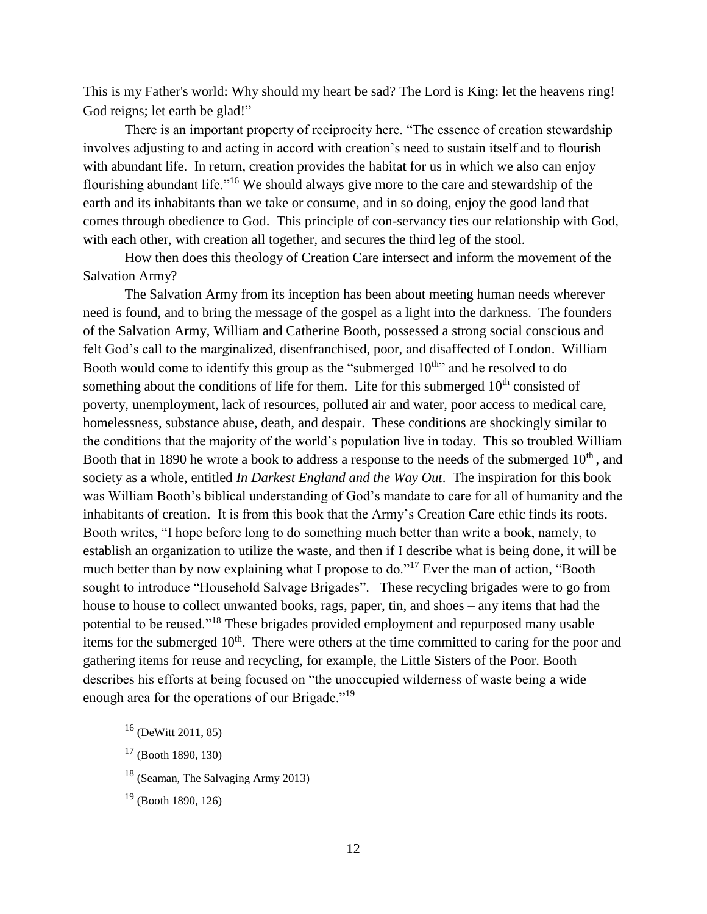This is my Father's world: Why should my heart be sad? The Lord is King: let the heavens ring! God reigns; let earth be glad!"

There is an important property of reciprocity here. "The essence of creation stewardship involves adjusting to and acting in accord with creation's need to sustain itself and to flourish with abundant life. In return, creation provides the habitat for us in which we also can enjoy flourishing abundant life."<sup>16</sup> We should always give more to the care and stewardship of the earth and its inhabitants than we take or consume, and in so doing, enjoy the good land that comes through obedience to God. This principle of con-servancy ties our relationship with God, with each other, with creation all together, and secures the third leg of the stool.

How then does this theology of Creation Care intersect and inform the movement of the Salvation Army?

The Salvation Army from its inception has been about meeting human needs wherever need is found, and to bring the message of the gospel as a light into the darkness. The founders of the Salvation Army, William and Catherine Booth, possessed a strong social conscious and felt God's call to the marginalized, disenfranchised, poor, and disaffected of London. William Booth would come to identify this group as the "submerged  $10<sup>th</sup>$ " and he resolved to do something about the conditions of life for them. Life for this submerged  $10<sup>th</sup>$  consisted of poverty, unemployment, lack of resources, polluted air and water, poor access to medical care, homelessness, substance abuse, death, and despair. These conditions are shockingly similar to the conditions that the majority of the world's population live in today. This so troubled William Booth that in 1890 he wrote a book to address a response to the needs of the submerged  $10<sup>th</sup>$ , and society as a whole, entitled *In Darkest England and the Way Out*. The inspiration for this book was William Booth's biblical understanding of God's mandate to care for all of humanity and the inhabitants of creation. It is from this book that the Army's Creation Care ethic finds its roots. Booth writes, "I hope before long to do something much better than write a book, namely, to establish an organization to utilize the waste, and then if I describe what is being done, it will be much better than by now explaining what I propose to do."<sup>17</sup> Ever the man of action, "Booth" sought to introduce "Household Salvage Brigades". These recycling brigades were to go from house to house to collect unwanted books, rags, paper, tin, and shoes – any items that had the potential to be reused."<sup>18</sup> These brigades provided employment and repurposed many usable items for the submerged  $10<sup>th</sup>$ . There were others at the time committed to caring for the poor and gathering items for reuse and recycling, for example, the Little Sisters of the Poor. Booth describes his efforts at being focused on "the unoccupied wilderness of waste being a wide enough area for the operations of our Brigade."<sup>19</sup>

<sup>16</sup> (DeWitt 2011, 85)

 $17$  (Booth 1890, 130)

<sup>18</sup> (Seaman, The Salvaging Army 2013)

<sup>19</sup> (Booth 1890, 126)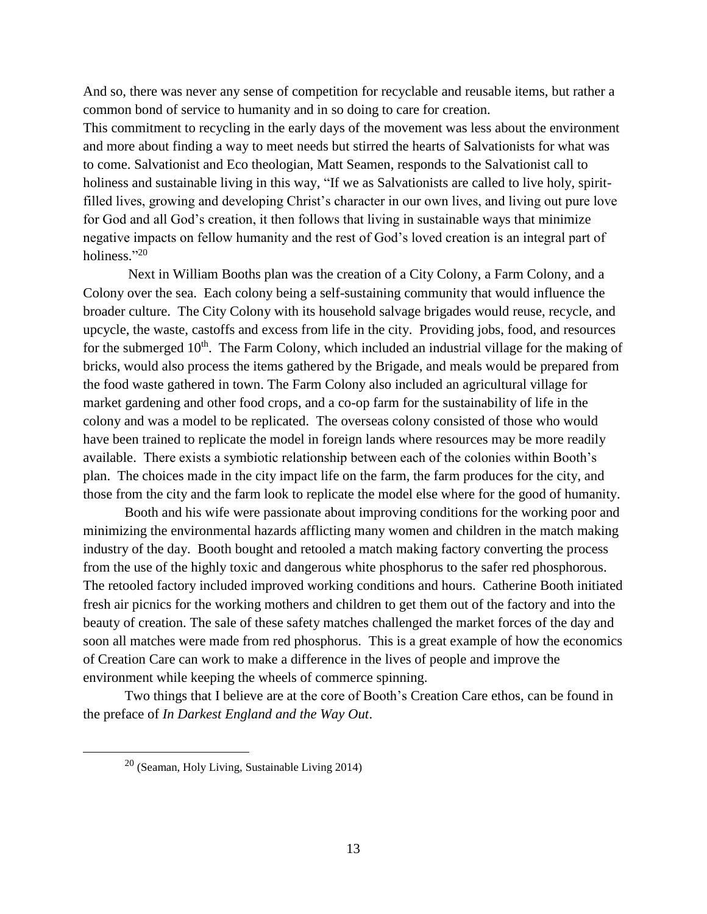And so, there was never any sense of competition for recyclable and reusable items, but rather a common bond of service to humanity and in so doing to care for creation.

This commitment to recycling in the early days of the movement was less about the environment and more about finding a way to meet needs but stirred the hearts of Salvationists for what was to come. Salvationist and Eco theologian, Matt Seamen, responds to the Salvationist call to holiness and sustainable living in this way, "If we as Salvationists are called to live holy, spiritfilled lives, growing and developing Christ's character in our own lives, and living out pure love for God and all God's creation, it then follows that living in sustainable ways that minimize negative impacts on fellow humanity and the rest of God's loved creation is an integral part of holiness."<sup>20</sup>

Next in William Booths plan was the creation of a City Colony, a Farm Colony, and a Colony over the sea. Each colony being a self-sustaining community that would influence the broader culture. The City Colony with its household salvage brigades would reuse, recycle, and upcycle, the waste, castoffs and excess from life in the city. Providing jobs, food, and resources for the submerged 10<sup>th</sup>. The Farm Colony, which included an industrial village for the making of bricks, would also process the items gathered by the Brigade, and meals would be prepared from the food waste gathered in town. The Farm Colony also included an agricultural village for market gardening and other food crops, and a co-op farm for the sustainability of life in the colony and was a model to be replicated. The overseas colony consisted of those who would have been trained to replicate the model in foreign lands where resources may be more readily available. There exists a symbiotic relationship between each of the colonies within Booth's plan. The choices made in the city impact life on the farm, the farm produces for the city, and those from the city and the farm look to replicate the model else where for the good of humanity.

Booth and his wife were passionate about improving conditions for the working poor and minimizing the environmental hazards afflicting many women and children in the match making industry of the day. Booth bought and retooled a match making factory converting the process from the use of the highly toxic and dangerous white phosphorus to the safer red phosphorous. The retooled factory included improved working conditions and hours. Catherine Booth initiated fresh air picnics for the working mothers and children to get them out of the factory and into the beauty of creation. The sale of these safety matches challenged the market forces of the day and soon all matches were made from red phosphorus. This is a great example of how the economics of Creation Care can work to make a difference in the lives of people and improve the environment while keeping the wheels of commerce spinning.

Two things that I believe are at the core of Booth's Creation Care ethos, can be found in the preface of *In Darkest England and the Way Out*.

 $20$  (Seaman, Holy Living, Sustainable Living 2014)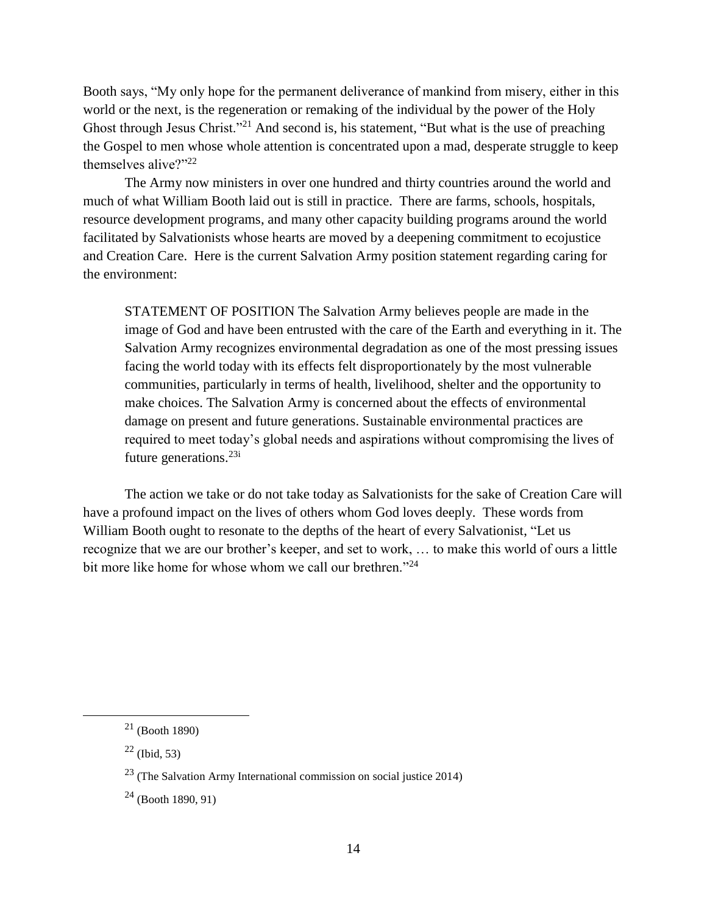Booth says, "My only hope for the permanent deliverance of mankind from misery, either in this world or the next, is the regeneration or remaking of the individual by the power of the Holy Ghost through Jesus Christ."<sup>21</sup> And second is, his statement, "But what is the use of preaching the Gospel to men whose whole attention is concentrated upon a mad, desperate struggle to keep themselves alive?"<sup>22</sup>

The Army now ministers in over one hundred and thirty countries around the world and much of what William Booth laid out is still in practice. There are farms, schools, hospitals, resource development programs, and many other capacity building programs around the world facilitated by Salvationists whose hearts are moved by a deepening commitment to ecojustice and Creation Care. Here is the current Salvation Army position statement regarding caring for the environment:

STATEMENT OF POSITION The Salvation Army believes people are made in the image of God and have been entrusted with the care of the Earth and everything in it. The Salvation Army recognizes environmental degradation as one of the most pressing issues facing the world today with its effects felt disproportionately by the most vulnerable communities, particularly in terms of health, livelihood, shelter and the opportunity to make choices. The Salvation Army is concerned about the effects of environmental damage on present and future generations. Sustainable environmental practices are required to meet today's global needs and aspirations without compromising the lives of future generations.<sup>23i</sup>

The action we take or do not take today as Salvationists for the sake of Creation Care will have a profound impact on the lives of others whom God loves deeply. These words from William Booth ought to resonate to the depths of the heart of every Salvationist, "Let us recognize that we are our brother's keeper, and set to work, … to make this world of ours a little bit more like home for whose whom we call our brethren."<sup>24</sup>

 $^{21}$  (Booth 1890)

 $^{22}$  (Ibid, 53)

<sup>23</sup> (The Salvation Army International commission on social justice 2014)

 $^{24}$  (Booth 1890, 91)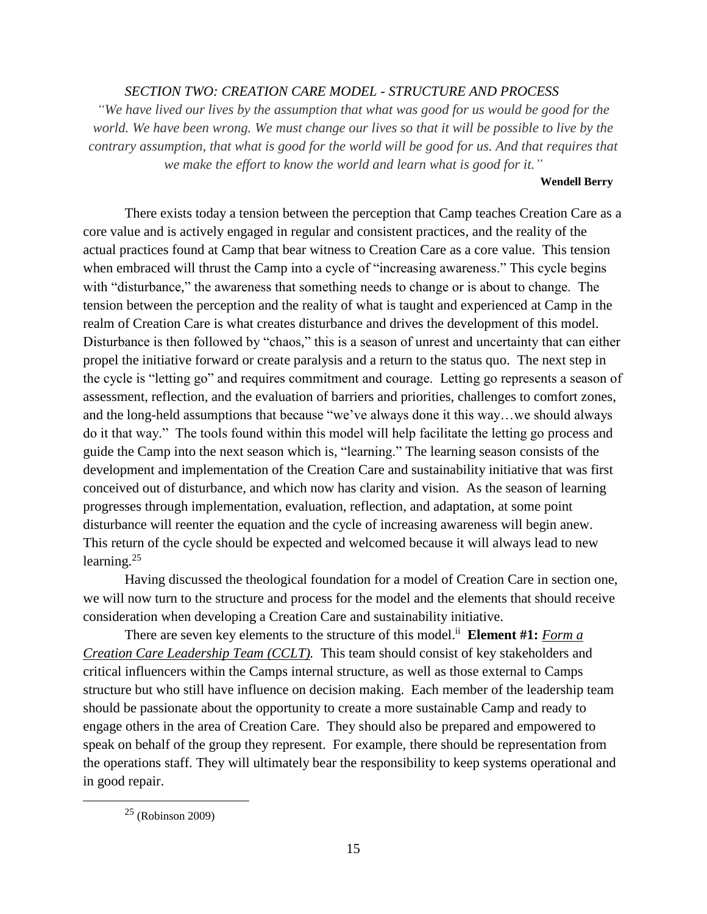### *SECTION TWO: CREATION CARE MODEL - STRUCTURE AND PROCESS*

*"We have lived our lives by the assumption that what was good for us would be good for the world. We have been wrong. We must change our lives so that it will be possible to live by the contrary assumption, that what is good for the world will be good for us. And that requires that we make the effort to know the world and learn what is good for it."*

#### **[Wendell Berry](https://www.azquotes.com/author/1332-Wendell_Berry)**

There exists today a tension between the perception that Camp teaches Creation Care as a core value and is actively engaged in regular and consistent practices, and the reality of the actual practices found at Camp that bear witness to Creation Care as a core value. This tension when embraced will thrust the Camp into a cycle of "increasing awareness." This cycle begins with "disturbance," the awareness that something needs to change or is about to change. The tension between the perception and the reality of what is taught and experienced at Camp in the realm of Creation Care is what creates disturbance and drives the development of this model. Disturbance is then followed by "chaos," this is a season of unrest and uncertainty that can either propel the initiative forward or create paralysis and a return to the status quo. The next step in the cycle is "letting go" and requires commitment and courage. Letting go represents a season of assessment, reflection, and the evaluation of barriers and priorities, challenges to comfort zones, and the long-held assumptions that because "we've always done it this way…we should always do it that way." The tools found within this model will help facilitate the letting go process and guide the Camp into the next season which is, "learning." The learning season consists of the development and implementation of the Creation Care and sustainability initiative that was first conceived out of disturbance, and which now has clarity and vision. As the season of learning progresses through implementation, evaluation, reflection, and adaptation, at some point disturbance will reenter the equation and the cycle of increasing awareness will begin anew. This return of the cycle should be expected and welcomed because it will always lead to new learning.<sup>25</sup>

Having discussed the theological foundation for a model of Creation Care in section one, we will now turn to the structure and process for the model and the elements that should receive consideration when developing a Creation Care and sustainability initiative.

There are seven key elements to the structure of this model.<sup>ii</sup> **Element #1:** *Form a Creation Care Leadership Team (CCLT).* This team should consist of key stakeholders and critical influencers within the Camps internal structure, as well as those external to Camps structure but who still have influence on decision making. Each member of the leadership team should be passionate about the opportunity to create a more sustainable Camp and ready to engage others in the area of Creation Care. They should also be prepared and empowered to speak on behalf of the group they represent. For example, there should be representation from the operations staff. They will ultimately bear the responsibility to keep systems operational and in good repair.

 $25$  (Robinson 2009)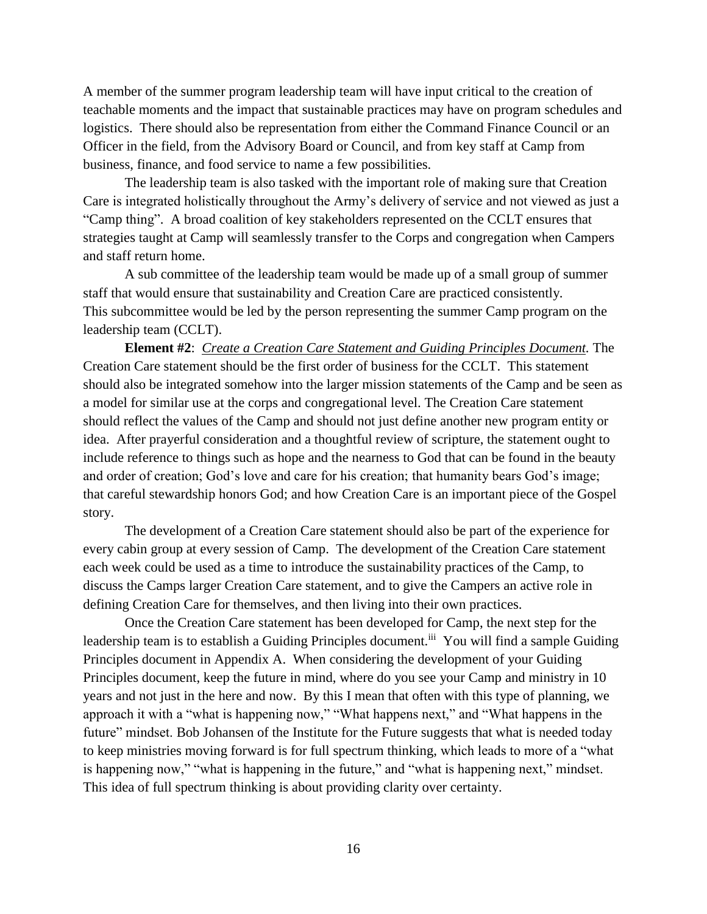A member of the summer program leadership team will have input critical to the creation of teachable moments and the impact that sustainable practices may have on program schedules and logistics. There should also be representation from either the Command Finance Council or an Officer in the field, from the Advisory Board or Council, and from key staff at Camp from business, finance, and food service to name a few possibilities.

The leadership team is also tasked with the important role of making sure that Creation Care is integrated holistically throughout the Army's delivery of service and not viewed as just a "Camp thing". A broad coalition of key stakeholders represented on the CCLT ensures that strategies taught at Camp will seamlessly transfer to the Corps and congregation when Campers and staff return home.

A sub committee of the leadership team would be made up of a small group of summer staff that would ensure that sustainability and Creation Care are practiced consistently. This subcommittee would be led by the person representing the summer Camp program on the leadership team (CCLT).

**Element #2**: *Create a Creation Care Statement and Guiding Principles Document.* The Creation Care statement should be the first order of business for the CCLT. This statement should also be integrated somehow into the larger mission statements of the Camp and be seen as a model for similar use at the corps and congregational level. The Creation Care statement should reflect the values of the Camp and should not just define another new program entity or idea. After prayerful consideration and a thoughtful review of scripture, the statement ought to include reference to things such as hope and the nearness to God that can be found in the beauty and order of creation; God's love and care for his creation; that humanity bears God's image; that careful stewardship honors God; and how Creation Care is an important piece of the Gospel story.

The development of a Creation Care statement should also be part of the experience for every cabin group at every session of Camp. The development of the Creation Care statement each week could be used as a time to introduce the sustainability practices of the Camp, to discuss the Camps larger Creation Care statement, and to give the Campers an active role in defining Creation Care for themselves, and then living into their own practices.

Once the Creation Care statement has been developed for Camp, the next step for the leadership team is to establish a Guiding Principles document.<sup>iii</sup> You will find a sample Guiding Principles document in Appendix A. When considering the development of your Guiding Principles document, keep the future in mind, where do you see your Camp and ministry in 10 years and not just in the here and now. By this I mean that often with this type of planning, we approach it with a "what is happening now," "What happens next," and "What happens in the future" mindset. Bob Johansen of the Institute for the Future suggests that what is needed today to keep ministries moving forward is for full spectrum thinking, which leads to more of a "what is happening now," "what is happening in the future," and "what is happening next," mindset. This idea of full spectrum thinking is about providing clarity over certainty.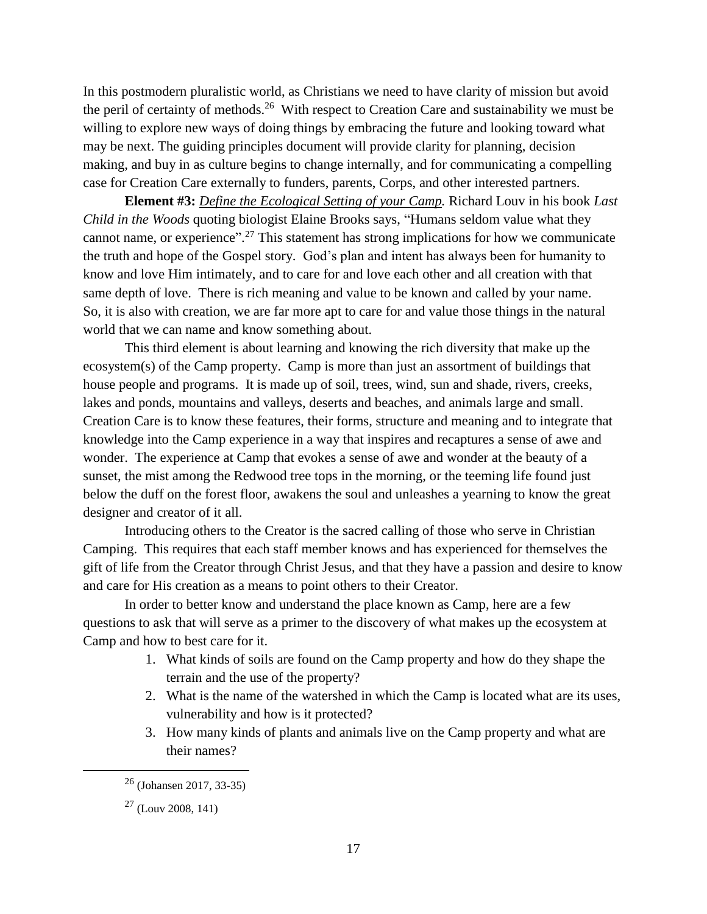In this postmodern pluralistic world, as Christians we need to have clarity of mission but avoid the peril of certainty of methods.<sup>26</sup> With respect to Creation Care and sustainability we must be willing to explore new ways of doing things by embracing the future and looking toward what may be next. The guiding principles document will provide clarity for planning, decision making, and buy in as culture begins to change internally, and for communicating a compelling case for Creation Care externally to funders, parents, Corps, and other interested partners.

**Element #3:** *Define the Ecological Setting of your Camp.* Richard Louv in his book *Last Child in the Woods* quoting biologist Elaine Brooks says, "Humans seldom value what they cannot name, or experience".<sup>27</sup> This statement has strong implications for how we communicate the truth and hope of the Gospel story. God's plan and intent has always been for humanity to know and love Him intimately, and to care for and love each other and all creation with that same depth of love. There is rich meaning and value to be known and called by your name. So, it is also with creation, we are far more apt to care for and value those things in the natural world that we can name and know something about.

This third element is about learning and knowing the rich diversity that make up the ecosystem(s) of the Camp property. Camp is more than just an assortment of buildings that house people and programs. It is made up of soil, trees, wind, sun and shade, rivers, creeks, lakes and ponds, mountains and valleys, deserts and beaches, and animals large and small. Creation Care is to know these features, their forms, structure and meaning and to integrate that knowledge into the Camp experience in a way that inspires and recaptures a sense of awe and wonder. The experience at Camp that evokes a sense of awe and wonder at the beauty of a sunset, the mist among the Redwood tree tops in the morning, or the teeming life found just below the duff on the forest floor, awakens the soul and unleashes a yearning to know the great designer and creator of it all.

Introducing others to the Creator is the sacred calling of those who serve in Christian Camping. This requires that each staff member knows and has experienced for themselves the gift of life from the Creator through Christ Jesus, and that they have a passion and desire to know and care for His creation as a means to point others to their Creator.

In order to better know and understand the place known as Camp, here are a few questions to ask that will serve as a primer to the discovery of what makes up the ecosystem at Camp and how to best care for it.

- 1. What kinds of soils are found on the Camp property and how do they shape the terrain and the use of the property?
- 2. What is the name of the watershed in which the Camp is located what are its uses, vulnerability and how is it protected?
- 3. How many kinds of plants and animals live on the Camp property and what are their names?

 $26$  (Johansen 2017, 33-35)

 $27$  (Louv 2008, 141)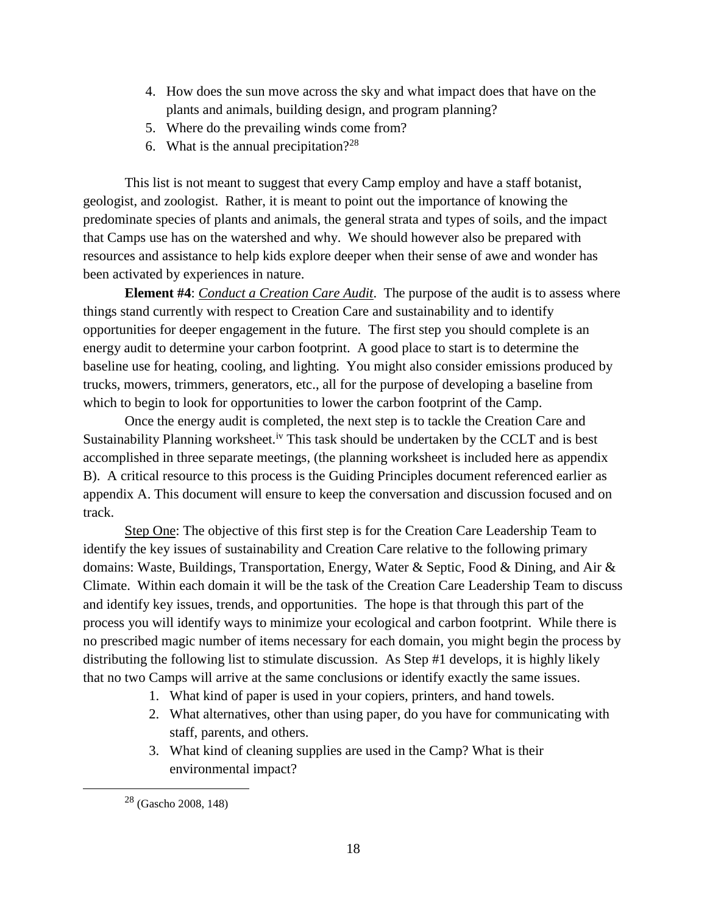- 4. How does the sun move across the sky and what impact does that have on the plants and animals, building design, and program planning?
- 5. Where do the prevailing winds come from?
- 6. What is the annual precipitation?<sup>28</sup>

This list is not meant to suggest that every Camp employ and have a staff botanist, geologist, and zoologist. Rather, it is meant to point out the importance of knowing the predominate species of plants and animals, the general strata and types of soils, and the impact that Camps use has on the watershed and why. We should however also be prepared with resources and assistance to help kids explore deeper when their sense of awe and wonder has been activated by experiences in nature.

**Element #4**: *Conduct a Creation Care Audit*. The purpose of the audit is to assess where things stand currently with respect to Creation Care and sustainability and to identify opportunities for deeper engagement in the future. The first step you should complete is an energy audit to determine your carbon footprint. A good place to start is to determine the baseline use for heating, cooling, and lighting. You might also consider emissions produced by trucks, mowers, trimmers, generators, etc., all for the purpose of developing a baseline from which to begin to look for opportunities to lower the carbon footprint of the Camp.

Once the energy audit is completed, the next step is to tackle the Creation Care and Sustainability Planning worksheet.<sup>iv</sup> This task should be undertaken by the CCLT and is best accomplished in three separate meetings, (the planning worksheet is included here as appendix B). A critical resource to this process is the Guiding Principles document referenced earlier as appendix A. This document will ensure to keep the conversation and discussion focused and on track.

Step One: The objective of this first step is for the Creation Care Leadership Team to identify the key issues of sustainability and Creation Care relative to the following primary domains: Waste, Buildings, Transportation, Energy, Water & Septic, Food & Dining, and Air & Climate. Within each domain it will be the task of the Creation Care Leadership Team to discuss and identify key issues, trends, and opportunities. The hope is that through this part of the process you will identify ways to minimize your ecological and carbon footprint. While there is no prescribed magic number of items necessary for each domain, you might begin the process by distributing the following list to stimulate discussion. As Step #1 develops, it is highly likely that no two Camps will arrive at the same conclusions or identify exactly the same issues.

- 1. What kind of paper is used in your copiers, printers, and hand towels.
- 2. What alternatives, other than using paper, do you have for communicating with staff, parents, and others.
- 3. What kind of cleaning supplies are used in the Camp? What is their environmental impact?

<sup>28</sup> (Gascho 2008, 148)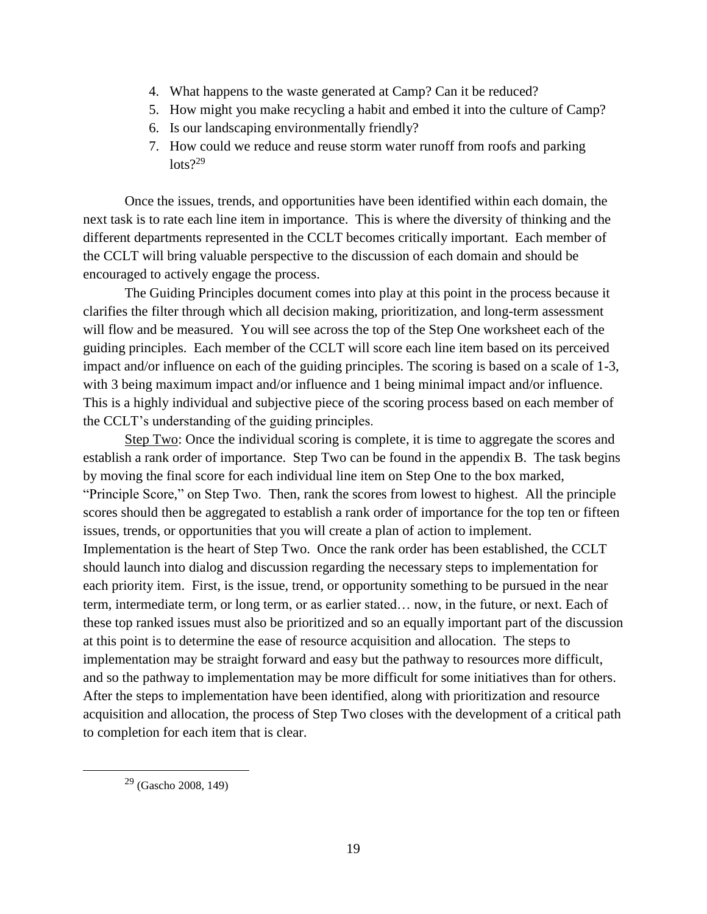- 4. What happens to the waste generated at Camp? Can it be reduced?
- 5. How might you make recycling a habit and embed it into the culture of Camp?
- 6. Is our landscaping environmentally friendly?
- 7. How could we reduce and reuse storm water runoff from roofs and parking  $\text{lots}$ ?<sup>29</sup>

Once the issues, trends, and opportunities have been identified within each domain, the next task is to rate each line item in importance. This is where the diversity of thinking and the different departments represented in the CCLT becomes critically important. Each member of the CCLT will bring valuable perspective to the discussion of each domain and should be encouraged to actively engage the process.

The Guiding Principles document comes into play at this point in the process because it clarifies the filter through which all decision making, prioritization, and long-term assessment will flow and be measured. You will see across the top of the Step One worksheet each of the guiding principles. Each member of the CCLT will score each line item based on its perceived impact and/or influence on each of the guiding principles. The scoring is based on a scale of 1-3, with 3 being maximum impact and/or influence and 1 being minimal impact and/or influence. This is a highly individual and subjective piece of the scoring process based on each member of the CCLT's understanding of the guiding principles.

Step Two: Once the individual scoring is complete, it is time to aggregate the scores and establish a rank order of importance. Step Two can be found in the appendix B. The task begins by moving the final score for each individual line item on Step One to the box marked, "Principle Score," on Step Two. Then, rank the scores from lowest to highest. All the principle scores should then be aggregated to establish a rank order of importance for the top ten or fifteen issues, trends, or opportunities that you will create a plan of action to implement. Implementation is the heart of Step Two. Once the rank order has been established, the CCLT should launch into dialog and discussion regarding the necessary steps to implementation for each priority item. First, is the issue, trend, or opportunity something to be pursued in the near term, intermediate term, or long term, or as earlier stated… now, in the future, or next. Each of these top ranked issues must also be prioritized and so an equally important part of the discussion at this point is to determine the ease of resource acquisition and allocation. The steps to implementation may be straight forward and easy but the pathway to resources more difficult, and so the pathway to implementation may be more difficult for some initiatives than for others. After the steps to implementation have been identified, along with prioritization and resource acquisition and allocation, the process of Step Two closes with the development of a critical path to completion for each item that is clear.

 $29$  (Gascho 2008, 149)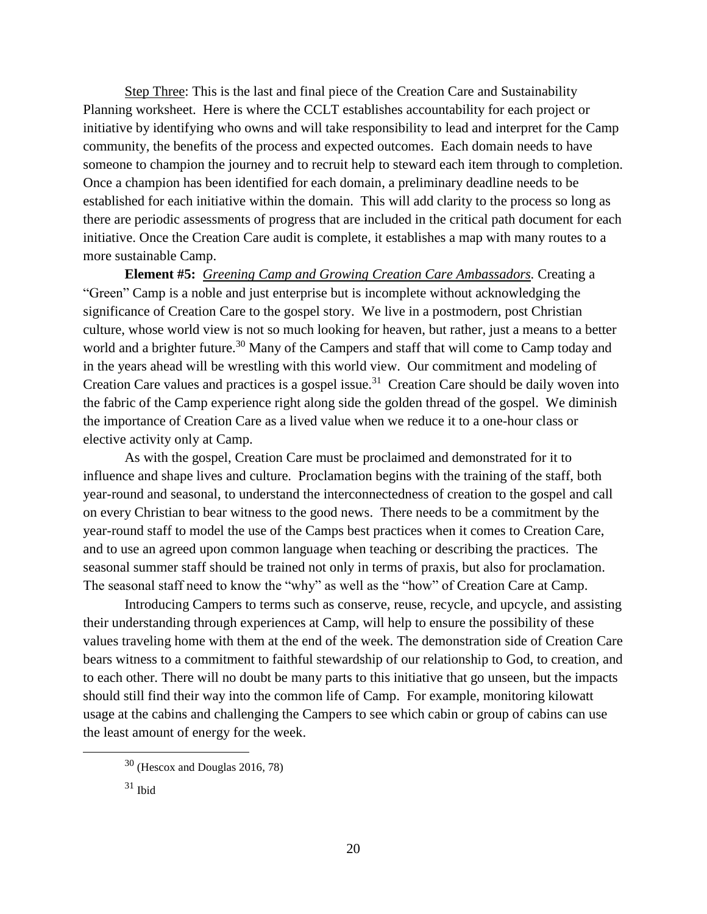Step Three: This is the last and final piece of the Creation Care and Sustainability Planning worksheet. Here is where the CCLT establishes accountability for each project or initiative by identifying who owns and will take responsibility to lead and interpret for the Camp community, the benefits of the process and expected outcomes. Each domain needs to have someone to champion the journey and to recruit help to steward each item through to completion. Once a champion has been identified for each domain, a preliminary deadline needs to be established for each initiative within the domain. This will add clarity to the process so long as there are periodic assessments of progress that are included in the critical path document for each initiative. Once the Creation Care audit is complete, it establishes a map with many routes to a more sustainable Camp.

**Element #5:** *Greening Camp and Growing Creation Care Ambassadors.* Creating a "Green" Camp is a noble and just enterprise but is incomplete without acknowledging the significance of Creation Care to the gospel story. We live in a postmodern, post Christian culture, whose world view is not so much looking for heaven, but rather, just a means to a better world and a brighter future.<sup>30</sup> Many of the Campers and staff that will come to Camp today and in the years ahead will be wrestling with this world view. Our commitment and modeling of Creation Care values and practices is a gospel issue.<sup>31</sup> Creation Care should be daily woven into the fabric of the Camp experience right along side the golden thread of the gospel. We diminish the importance of Creation Care as a lived value when we reduce it to a one-hour class or elective activity only at Camp.

As with the gospel, Creation Care must be proclaimed and demonstrated for it to influence and shape lives and culture. Proclamation begins with the training of the staff, both year-round and seasonal, to understand the interconnectedness of creation to the gospel and call on every Christian to bear witness to the good news. There needs to be a commitment by the year-round staff to model the use of the Camps best practices when it comes to Creation Care, and to use an agreed upon common language when teaching or describing the practices. The seasonal summer staff should be trained not only in terms of praxis, but also for proclamation. The seasonal staff need to know the "why" as well as the "how" of Creation Care at Camp.

Introducing Campers to terms such as conserve, reuse, recycle, and upcycle, and assisting their understanding through experiences at Camp, will help to ensure the possibility of these values traveling home with them at the end of the week. The demonstration side of Creation Care bears witness to a commitment to faithful stewardship of our relationship to God, to creation, and to each other. There will no doubt be many parts to this initiative that go unseen, but the impacts should still find their way into the common life of Camp. For example, monitoring kilowatt usage at the cabins and challenging the Campers to see which cabin or group of cabins can use the least amount of energy for the week.

<sup>30</sup> (Hescox and Douglas 2016, 78)

 $31$  Ibid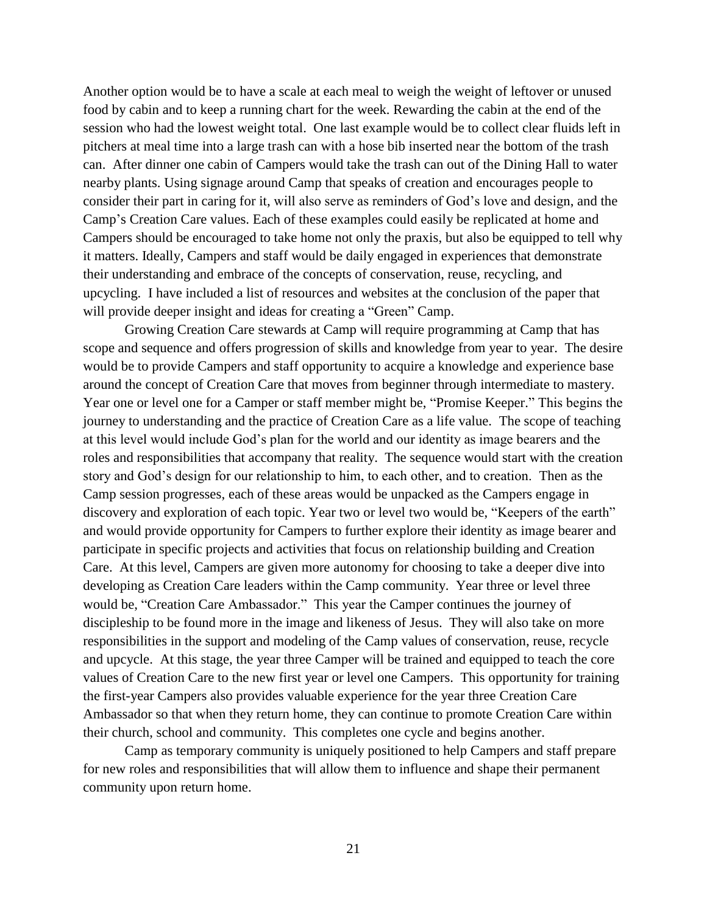Another option would be to have a scale at each meal to weigh the weight of leftover or unused food by cabin and to keep a running chart for the week. Rewarding the cabin at the end of the session who had the lowest weight total. One last example would be to collect clear fluids left in pitchers at meal time into a large trash can with a hose bib inserted near the bottom of the trash can. After dinner one cabin of Campers would take the trash can out of the Dining Hall to water nearby plants. Using signage around Camp that speaks of creation and encourages people to consider their part in caring for it, will also serve as reminders of God's love and design, and the Camp's Creation Care values. Each of these examples could easily be replicated at home and Campers should be encouraged to take home not only the praxis, but also be equipped to tell why it matters. Ideally, Campers and staff would be daily engaged in experiences that demonstrate their understanding and embrace of the concepts of conservation, reuse, recycling, and upcycling. I have included a list of resources and websites at the conclusion of the paper that will provide deeper insight and ideas for creating a "Green" Camp.

Growing Creation Care stewards at Camp will require programming at Camp that has scope and sequence and offers progression of skills and knowledge from year to year. The desire would be to provide Campers and staff opportunity to acquire a knowledge and experience base around the concept of Creation Care that moves from beginner through intermediate to mastery. Year one or level one for a Camper or staff member might be, "Promise Keeper." This begins the journey to understanding and the practice of Creation Care as a life value. The scope of teaching at this level would include God's plan for the world and our identity as image bearers and the roles and responsibilities that accompany that reality. The sequence would start with the creation story and God's design for our relationship to him, to each other, and to creation. Then as the Camp session progresses, each of these areas would be unpacked as the Campers engage in discovery and exploration of each topic. Year two or level two would be, "Keepers of the earth" and would provide opportunity for Campers to further explore their identity as image bearer and participate in specific projects and activities that focus on relationship building and Creation Care. At this level, Campers are given more autonomy for choosing to take a deeper dive into developing as Creation Care leaders within the Camp community. Year three or level three would be, "Creation Care Ambassador." This year the Camper continues the journey of discipleship to be found more in the image and likeness of Jesus. They will also take on more responsibilities in the support and modeling of the Camp values of conservation, reuse, recycle and upcycle. At this stage, the year three Camper will be trained and equipped to teach the core values of Creation Care to the new first year or level one Campers. This opportunity for training the first-year Campers also provides valuable experience for the year three Creation Care Ambassador so that when they return home, they can continue to promote Creation Care within their church, school and community. This completes one cycle and begins another.

Camp as temporary community is uniquely positioned to help Campers and staff prepare for new roles and responsibilities that will allow them to influence and shape their permanent community upon return home.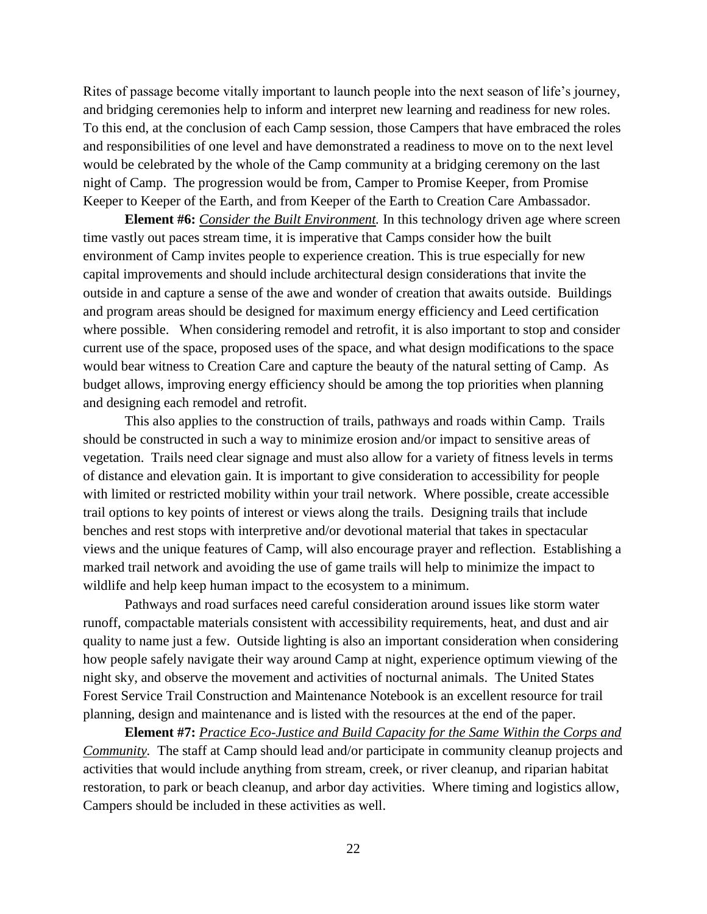Rites of passage become vitally important to launch people into the next season of life's journey, and bridging ceremonies help to inform and interpret new learning and readiness for new roles. To this end, at the conclusion of each Camp session, those Campers that have embraced the roles and responsibilities of one level and have demonstrated a readiness to move on to the next level would be celebrated by the whole of the Camp community at a bridging ceremony on the last night of Camp. The progression would be from, Camper to Promise Keeper, from Promise Keeper to Keeper of the Earth, and from Keeper of the Earth to Creation Care Ambassador.

**Element #6:** *Consider the Built Environment.* In this technology driven age where screen time vastly out paces stream time, it is imperative that Camps consider how the built environment of Camp invites people to experience creation. This is true especially for new capital improvements and should include architectural design considerations that invite the outside in and capture a sense of the awe and wonder of creation that awaits outside. Buildings and program areas should be designed for maximum energy efficiency and Leed certification where possible. When considering remodel and retrofit, it is also important to stop and consider current use of the space, proposed uses of the space, and what design modifications to the space would bear witness to Creation Care and capture the beauty of the natural setting of Camp. As budget allows, improving energy efficiency should be among the top priorities when planning and designing each remodel and retrofit.

This also applies to the construction of trails, pathways and roads within Camp. Trails should be constructed in such a way to minimize erosion and/or impact to sensitive areas of vegetation. Trails need clear signage and must also allow for a variety of fitness levels in terms of distance and elevation gain. It is important to give consideration to accessibility for people with limited or restricted mobility within your trail network. Where possible, create accessible trail options to key points of interest or views along the trails. Designing trails that include benches and rest stops with interpretive and/or devotional material that takes in spectacular views and the unique features of Camp, will also encourage prayer and reflection. Establishing a marked trail network and avoiding the use of game trails will help to minimize the impact to wildlife and help keep human impact to the ecosystem to a minimum.

Pathways and road surfaces need careful consideration around issues like storm water runoff, compactable materials consistent with accessibility requirements, heat, and dust and air quality to name just a few. Outside lighting is also an important consideration when considering how people safely navigate their way around Camp at night, experience optimum viewing of the night sky, and observe the movement and activities of nocturnal animals. The United States Forest Service Trail Construction and Maintenance Notebook is an excellent resource for trail planning, design and maintenance and is listed with the resources at the end of the paper.

**Element #7:** *Practice Eco-Justice and Build Capacity for the Same Within the Corps and Community.* The staff at Camp should lead and/or participate in community cleanup projects and activities that would include anything from stream, creek, or river cleanup, and riparian habitat restoration, to park or beach cleanup, and arbor day activities. Where timing and logistics allow, Campers should be included in these activities as well.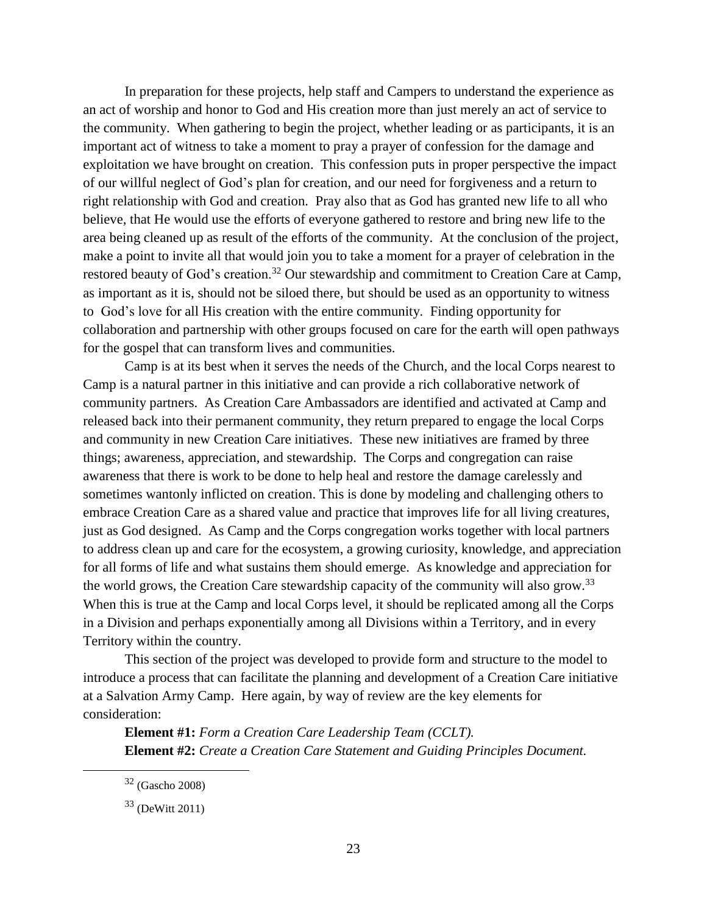In preparation for these projects, help staff and Campers to understand the experience as an act of worship and honor to God and His creation more than just merely an act of service to the community. When gathering to begin the project, whether leading or as participants, it is an important act of witness to take a moment to pray a prayer of confession for the damage and exploitation we have brought on creation. This confession puts in proper perspective the impact of our willful neglect of God's plan for creation, and our need for forgiveness and a return to right relationship with God and creation. Pray also that as God has granted new life to all who believe, that He would use the efforts of everyone gathered to restore and bring new life to the area being cleaned up as result of the efforts of the community. At the conclusion of the project, make a point to invite all that would join you to take a moment for a prayer of celebration in the restored beauty of God's creation.<sup>32</sup> Our stewardship and commitment to Creation Care at Camp, as important as it is, should not be siloed there, but should be used as an opportunity to witness to God's love for all His creation with the entire community. Finding opportunity for collaboration and partnership with other groups focused on care for the earth will open pathways for the gospel that can transform lives and communities.

Camp is at its best when it serves the needs of the Church, and the local Corps nearest to Camp is a natural partner in this initiative and can provide a rich collaborative network of community partners. As Creation Care Ambassadors are identified and activated at Camp and released back into their permanent community, they return prepared to engage the local Corps and community in new Creation Care initiatives. These new initiatives are framed by three things; awareness, appreciation, and stewardship. The Corps and congregation can raise awareness that there is work to be done to help heal and restore the damage carelessly and sometimes wantonly inflicted on creation. This is done by modeling and challenging others to embrace Creation Care as a shared value and practice that improves life for all living creatures, just as God designed. As Camp and the Corps congregation works together with local partners to address clean up and care for the ecosystem, a growing curiosity, knowledge, and appreciation for all forms of life and what sustains them should emerge. As knowledge and appreciation for the world grows, the Creation Care stewardship capacity of the community will also grow.<sup>33</sup> When this is true at the Camp and local Corps level, it should be replicated among all the Corps in a Division and perhaps exponentially among all Divisions within a Territory, and in every Territory within the country.

This section of the project was developed to provide form and structure to the model to introduce a process that can facilitate the planning and development of a Creation Care initiative at a Salvation Army Camp. Here again, by way of review are the key elements for consideration:

**Element #1:** *Form a Creation Care Leadership Team (CCLT).* **Element #2:** *Create a Creation Care Statement and Guiding Principles Document.*

<sup>32</sup> (Gascho 2008)

<sup>33</sup> (DeWitt 2011)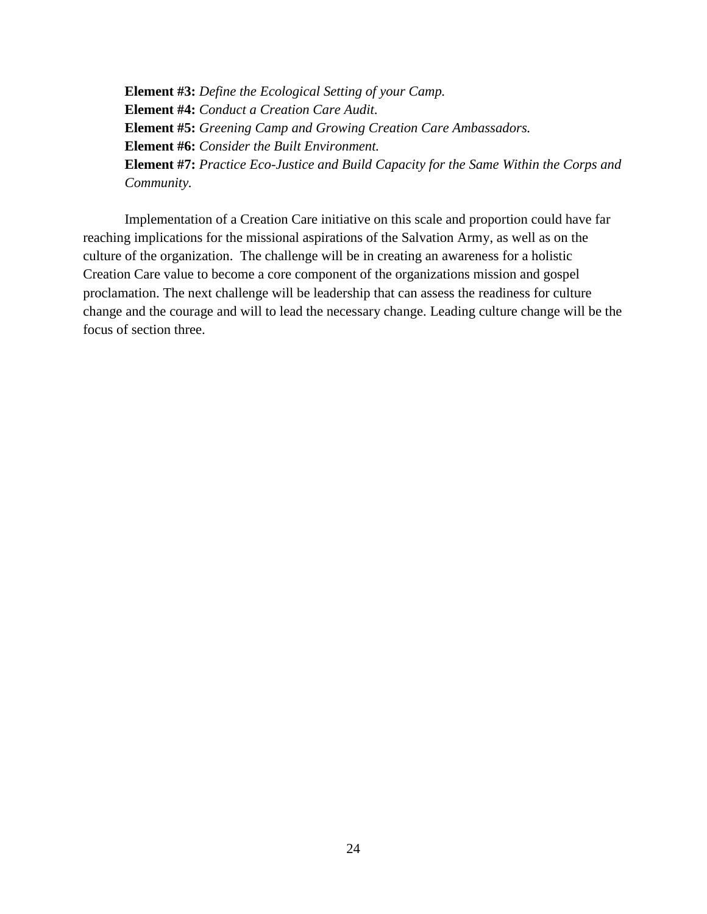**Element #3:** *Define the Ecological Setting of your Camp.* **Element #4:** *Conduct a Creation Care Audit*. **Element #5:** *Greening Camp and Growing Creation Care Ambassadors.* **Element #6:** *Consider the Built Environment.* **Element #7:** *Practice Eco-Justice and Build Capacity for the Same Within the Corps and Community.*

Implementation of a Creation Care initiative on this scale and proportion could have far reaching implications for the missional aspirations of the Salvation Army, as well as on the culture of the organization. The challenge will be in creating an awareness for a holistic Creation Care value to become a core component of the organizations mission and gospel proclamation. The next challenge will be leadership that can assess the readiness for culture change and the courage and will to lead the necessary change. Leading culture change will be the focus of section three.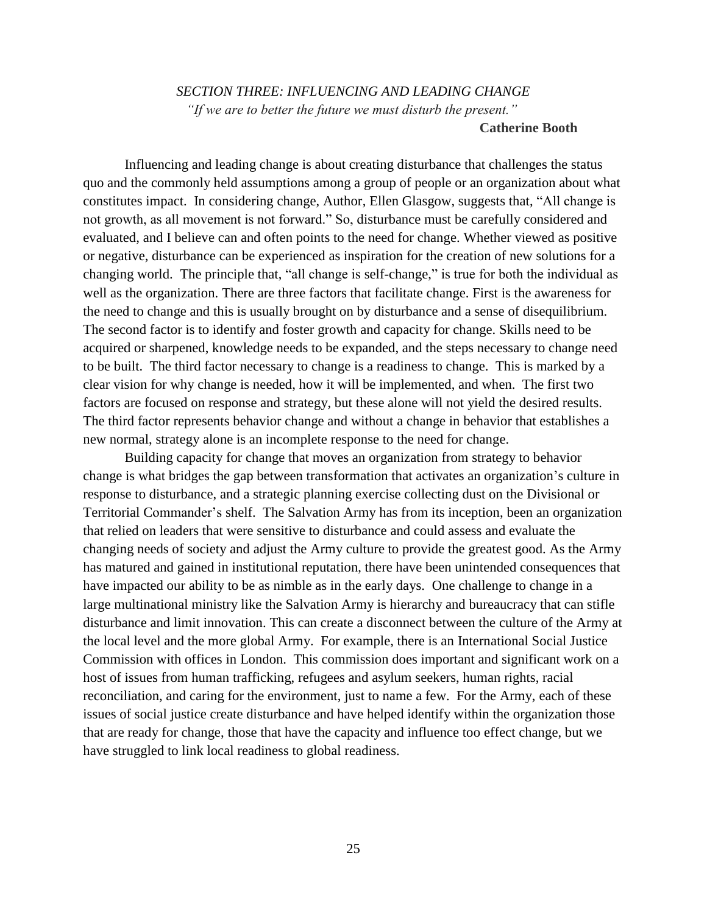## *SECTION THREE: INFLUENCING AND LEADING CHANGE "If we are to better the future we must disturb the present."* **Catherine Booth**

Influencing and leading change is about creating disturbance that challenges the status quo and the commonly held assumptions among a group of people or an organization about what constitutes impact. In considering change, Author, Ellen Glasgow, suggests that, "All change is not growth, as all movement is not forward." So, disturbance must be carefully considered and evaluated, and I believe can and often points to the need for change. Whether viewed as positive or negative, disturbance can be experienced as inspiration for the creation of new solutions for a changing world. The principle that, "all change is self-change," is true for both the individual as well as the organization. There are three factors that facilitate change. First is the awareness for the need to change and this is usually brought on by disturbance and a sense of disequilibrium. The second factor is to identify and foster growth and capacity for change. Skills need to be acquired or sharpened, knowledge needs to be expanded, and the steps necessary to change need to be built. The third factor necessary to change is a readiness to change. This is marked by a clear vision for why change is needed, how it will be implemented, and when. The first two factors are focused on response and strategy, but these alone will not yield the desired results. The third factor represents behavior change and without a change in behavior that establishes a new normal, strategy alone is an incomplete response to the need for change.

Building capacity for change that moves an organization from strategy to behavior change is what bridges the gap between transformation that activates an organization's culture in response to disturbance, and a strategic planning exercise collecting dust on the Divisional or Territorial Commander's shelf. The Salvation Army has from its inception, been an organization that relied on leaders that were sensitive to disturbance and could assess and evaluate the changing needs of society and adjust the Army culture to provide the greatest good. As the Army has matured and gained in institutional reputation, there have been unintended consequences that have impacted our ability to be as nimble as in the early days. One challenge to change in a large multinational ministry like the Salvation Army is hierarchy and bureaucracy that can stifle disturbance and limit innovation. This can create a disconnect between the culture of the Army at the local level and the more global Army. For example, there is an International Social Justice Commission with offices in London. This commission does important and significant work on a host of issues from human trafficking, refugees and asylum seekers, human rights, racial reconciliation, and caring for the environment, just to name a few. For the Army, each of these issues of social justice create disturbance and have helped identify within the organization those that are ready for change, those that have the capacity and influence too effect change, but we have struggled to link local readiness to global readiness.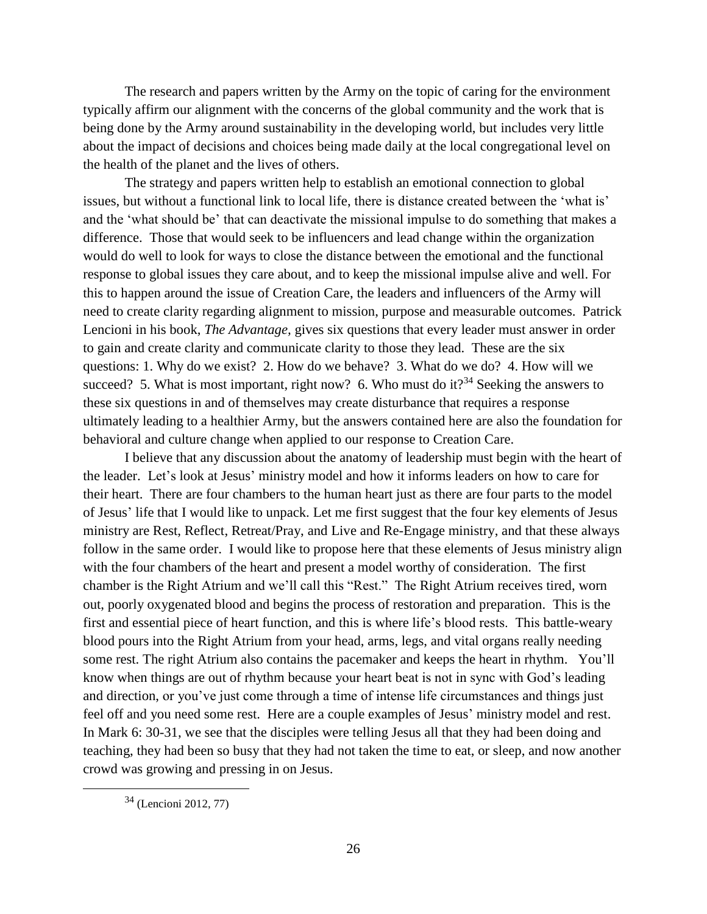The research and papers written by the Army on the topic of caring for the environment typically affirm our alignment with the concerns of the global community and the work that is being done by the Army around sustainability in the developing world, but includes very little about the impact of decisions and choices being made daily at the local congregational level on the health of the planet and the lives of others.

The strategy and papers written help to establish an emotional connection to global issues, but without a functional link to local life, there is distance created between the 'what is' and the 'what should be' that can deactivate the missional impulse to do something that makes a difference. Those that would seek to be influencers and lead change within the organization would do well to look for ways to close the distance between the emotional and the functional response to global issues they care about, and to keep the missional impulse alive and well. For this to happen around the issue of Creation Care, the leaders and influencers of the Army will need to create clarity regarding alignment to mission, purpose and measurable outcomes. Patrick Lencioni in his book, *The Advantage,* gives six questions that every leader must answer in order to gain and create clarity and communicate clarity to those they lead. These are the six questions: 1. Why do we exist? 2. How do we behave? 3. What do we do? 4. How will we succeed? 5. What is most important, right now? 6. Who must do it?<sup>34</sup> Seeking the answers to these six questions in and of themselves may create disturbance that requires a response ultimately leading to a healthier Army, but the answers contained here are also the foundation for behavioral and culture change when applied to our response to Creation Care.

I believe that any discussion about the anatomy of leadership must begin with the heart of the leader. Let's look at Jesus' ministry model and how it informs leaders on how to care for their heart. There are four chambers to the human heart just as there are four parts to the model of Jesus' life that I would like to unpack. Let me first suggest that the four key elements of Jesus ministry are Rest, Reflect, Retreat/Pray, and Live and Re-Engage ministry, and that these always follow in the same order. I would like to propose here that these elements of Jesus ministry align with the four chambers of the heart and present a model worthy of consideration. The first chamber is the Right Atrium and we'll call this "Rest." The Right Atrium receives tired, worn out, poorly oxygenated blood and begins the process of restoration and preparation. This is the first and essential piece of heart function, and this is where life's blood rests. This battle-weary blood pours into the Right Atrium from your head, arms, legs, and vital organs really needing some rest. The right Atrium also contains the pacemaker and keeps the heart in rhythm. You'll know when things are out of rhythm because your heart beat is not in sync with God's leading and direction, or you've just come through a time of intense life circumstances and things just feel off and you need some rest. Here are a couple examples of Jesus' ministry model and rest. In Mark 6: 30-31, we see that the disciples were telling Jesus all that they had been doing and teaching, they had been so busy that they had not taken the time to eat, or sleep, and now another crowd was growing and pressing in on Jesus.

<sup>34</sup> (Lencioni 2012, 77)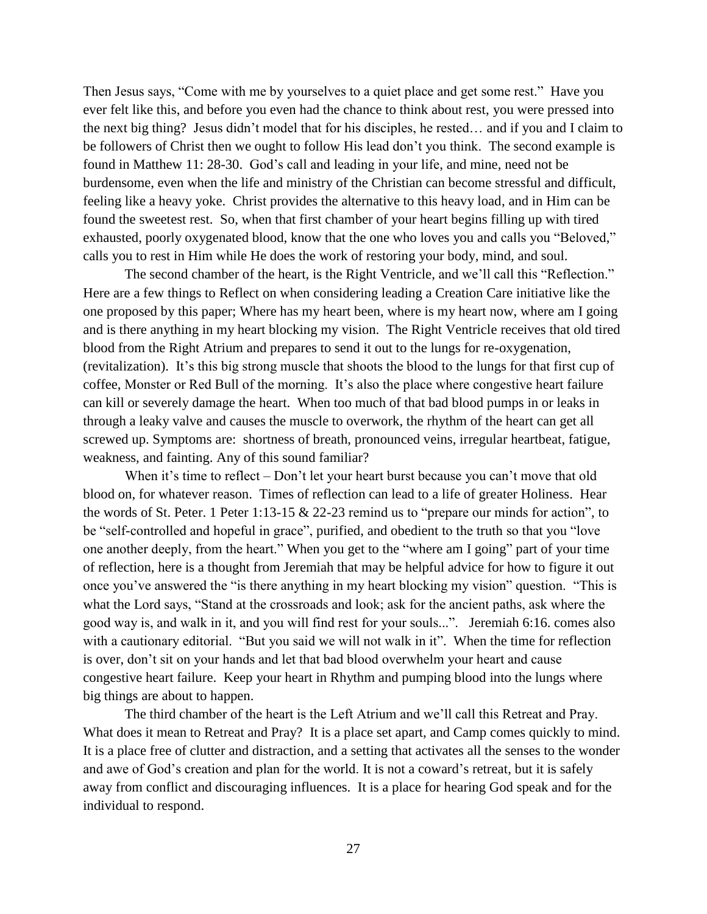Then Jesus says, "Come with me by yourselves to a quiet place and get some rest." Have you ever felt like this, and before you even had the chance to think about rest, you were pressed into the next big thing? Jesus didn't model that for his disciples, he rested… and if you and I claim to be followers of Christ then we ought to follow His lead don't you think. The second example is found in Matthew 11: 28-30. God's call and leading in your life, and mine, need not be burdensome, even when the life and ministry of the Christian can become stressful and difficult, feeling like a heavy yoke. Christ provides the alternative to this heavy load, and in Him can be found the sweetest rest. So, when that first chamber of your heart begins filling up with tired exhausted, poorly oxygenated blood, know that the one who loves you and calls you "Beloved," calls you to rest in Him while He does the work of restoring your body, mind, and soul.

The second chamber of the heart, is the Right Ventricle, and we'll call this "Reflection." Here are a few things to Reflect on when considering leading a Creation Care initiative like the one proposed by this paper; Where has my heart been, where is my heart now, where am I going and is there anything in my heart blocking my vision. The Right Ventricle receives that old tired blood from the Right Atrium and prepares to send it out to the lungs for re-oxygenation, (revitalization). It's this big strong muscle that shoots the blood to the lungs for that first cup of coffee, Monster or Red Bull of the morning. It's also the place where congestive heart failure can kill or severely damage the heart. When too much of that bad blood pumps in or leaks in through a leaky valve and causes the muscle to overwork, the rhythm of the heart can get all screwed up. Symptoms are: shortness of breath, pronounced veins, irregular heartbeat, fatigue, weakness, and fainting. Any of this sound familiar?

When it's time to reflect – Don't let your heart burst because you can't move that old blood on, for whatever reason. Times of reflection can lead to a life of greater Holiness. Hear the words of St. Peter. 1 Peter 1:13-15 & 22-23 remind us to "prepare our minds for action", to be "self-controlled and hopeful in grace", purified, and obedient to the truth so that you "love one another deeply, from the heart." When you get to the "where am I going" part of your time of reflection, here is a thought from Jeremiah that may be helpful advice for how to figure it out once you've answered the "is there anything in my heart blocking my vision" question. "This is what the Lord says, "Stand at the crossroads and look; ask for the ancient paths, ask where the good way is, and walk in it, and you will find rest for your souls...". Jeremiah 6:16. comes also with a cautionary editorial. "But you said we will not walk in it". When the time for reflection is over, don't sit on your hands and let that bad blood overwhelm your heart and cause congestive heart failure. Keep your heart in Rhythm and pumping blood into the lungs where big things are about to happen.

The third chamber of the heart is the Left Atrium and we'll call this Retreat and Pray. What does it mean to Retreat and Pray? It is a place set apart, and Camp comes quickly to mind. It is a place free of clutter and distraction, and a setting that activates all the senses to the wonder and awe of God's creation and plan for the world. It is not a coward's retreat, but it is safely away from conflict and discouraging influences. It is a place for hearing God speak and for the individual to respond.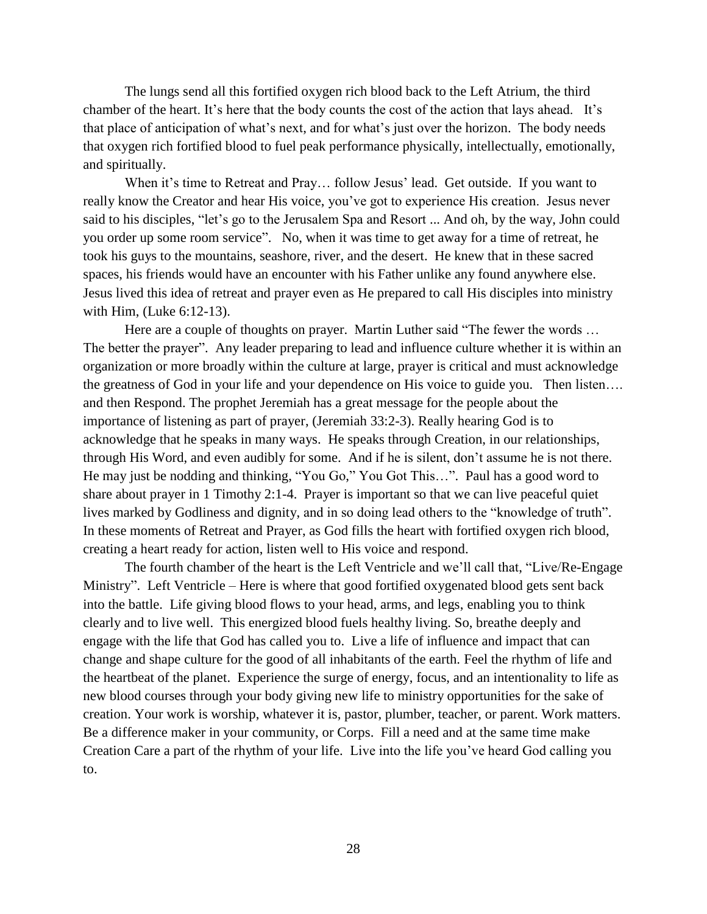The lungs send all this fortified oxygen rich blood back to the Left Atrium, the third chamber of the heart. It's here that the body counts the cost of the action that lays ahead. It's that place of anticipation of what's next, and for what's just over the horizon. The body needs that oxygen rich fortified blood to fuel peak performance physically, intellectually, emotionally, and spiritually.

When it's time to Retreat and Pray... follow Jesus' lead. Get outside. If you want to really know the Creator and hear His voice, you've got to experience His creation. Jesus never said to his disciples, "let's go to the Jerusalem Spa and Resort ... And oh, by the way, John could you order up some room service". No, when it was time to get away for a time of retreat, he took his guys to the mountains, seashore, river, and the desert. He knew that in these sacred spaces, his friends would have an encounter with his Father unlike any found anywhere else. Jesus lived this idea of retreat and prayer even as He prepared to call His disciples into ministry with Him, (Luke 6:12-13).

Here are a couple of thoughts on prayer. Martin Luther said "The fewer the words ... The better the prayer". Any leader preparing to lead and influence culture whether it is within an organization or more broadly within the culture at large, prayer is critical and must acknowledge the greatness of God in your life and your dependence on His voice to guide you. Then listen…. and then Respond. The prophet Jeremiah has a great message for the people about the importance of listening as part of prayer, (Jeremiah 33:2-3). Really hearing God is to acknowledge that he speaks in many ways. He speaks through Creation, in our relationships, through His Word, and even audibly for some. And if he is silent, don't assume he is not there. He may just be nodding and thinking, "You Go," You Got This…". Paul has a good word to share about prayer in 1 Timothy 2:1-4. Prayer is important so that we can live peaceful quiet lives marked by Godliness and dignity, and in so doing lead others to the "knowledge of truth". In these moments of Retreat and Prayer, as God fills the heart with fortified oxygen rich blood, creating a heart ready for action, listen well to His voice and respond.

The fourth chamber of the heart is the Left Ventricle and we'll call that, "Live/Re-Engage Ministry". Left Ventricle – Here is where that good fortified oxygenated blood gets sent back into the battle. Life giving blood flows to your head, arms, and legs, enabling you to think clearly and to live well. This energized blood fuels healthy living. So, breathe deeply and engage with the life that God has called you to. Live a life of influence and impact that can change and shape culture for the good of all inhabitants of the earth. Feel the rhythm of life and the heartbeat of the planet. Experience the surge of energy, focus, and an intentionality to life as new blood courses through your body giving new life to ministry opportunities for the sake of creation. Your work is worship, whatever it is, pastor, plumber, teacher, or parent. Work matters. Be a difference maker in your community, or Corps. Fill a need and at the same time make Creation Care a part of the rhythm of your life. Live into the life you've heard God calling you to.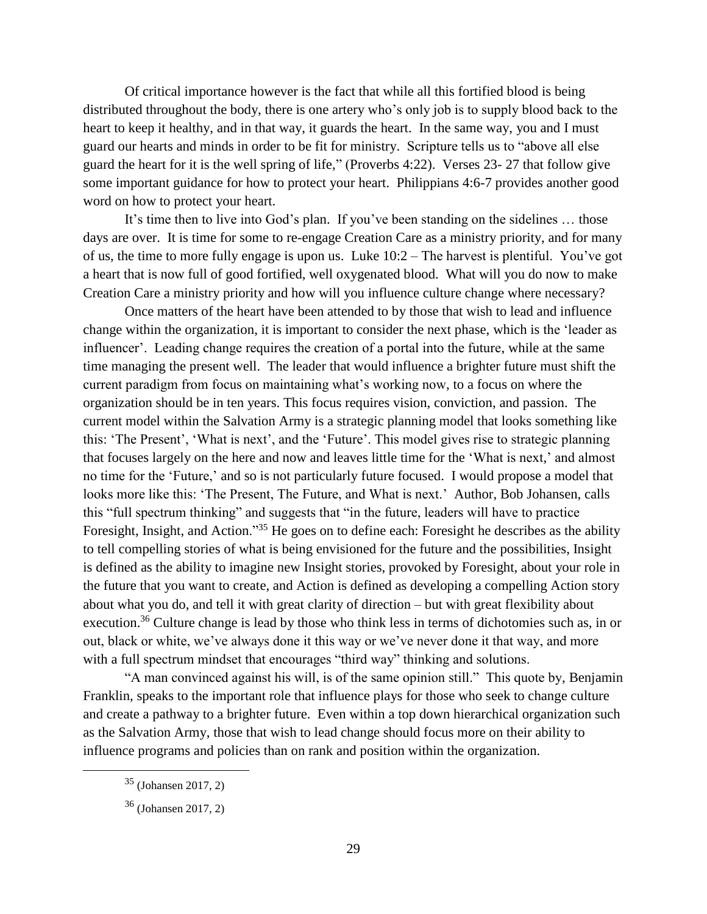Of critical importance however is the fact that while all this fortified blood is being distributed throughout the body, there is one artery who's only job is to supply blood back to the heart to keep it healthy, and in that way, it guards the heart. In the same way, you and I must guard our hearts and minds in order to be fit for ministry. Scripture tells us to "above all else guard the heart for it is the well spring of life," (Proverbs 4:22). Verses 23- 27 that follow give some important guidance for how to protect your heart. Philippians 4:6-7 provides another good word on how to protect your heart.

It's time then to live into God's plan. If you've been standing on the sidelines … those days are over. It is time for some to re-engage Creation Care as a ministry priority, and for many of us, the time to more fully engage is upon us. Luke 10:2 – The harvest is plentiful. You've got a heart that is now full of good fortified, well oxygenated blood. What will you do now to make Creation Care a ministry priority and how will you influence culture change where necessary?

Once matters of the heart have been attended to by those that wish to lead and influence change within the organization, it is important to consider the next phase, which is the 'leader as influencer'. Leading change requires the creation of a portal into the future, while at the same time managing the present well. The leader that would influence a brighter future must shift the current paradigm from focus on maintaining what's working now, to a focus on where the organization should be in ten years. This focus requires vision, conviction, and passion. The current model within the Salvation Army is a strategic planning model that looks something like this: 'The Present', 'What is next', and the 'Future'. This model gives rise to strategic planning that focuses largely on the here and now and leaves little time for the 'What is next,' and almost no time for the 'Future,' and so is not particularly future focused. I would propose a model that looks more like this: 'The Present, The Future, and What is next.' Author, Bob Johansen, calls this "full spectrum thinking" and suggests that "in the future, leaders will have to practice Foresight, Insight, and Action.<sup>35</sup> He goes on to define each: Foresight he describes as the ability to tell compelling stories of what is being envisioned for the future and the possibilities, Insight is defined as the ability to imagine new Insight stories, provoked by Foresight, about your role in the future that you want to create, and Action is defined as developing a compelling Action story about what you do, and tell it with great clarity of direction – but with great flexibility about execution.<sup>36</sup> Culture change is lead by those who think less in terms of dichotomies such as, in or out, black or white, we've always done it this way or we've never done it that way, and more with a full spectrum mindset that encourages "third way" thinking and solutions.

"A man convinced against his will, is of the same opinion still." This quote by, Benjamin Franklin, speaks to the important role that influence plays for those who seek to change culture and create a pathway to a brighter future. Even within a top down hierarchical organization such as the Salvation Army, those that wish to lead change should focus more on their ability to influence programs and policies than on rank and position within the organization.

<sup>35</sup> (Johansen 2017, 2)

<sup>36</sup> (Johansen 2017, 2)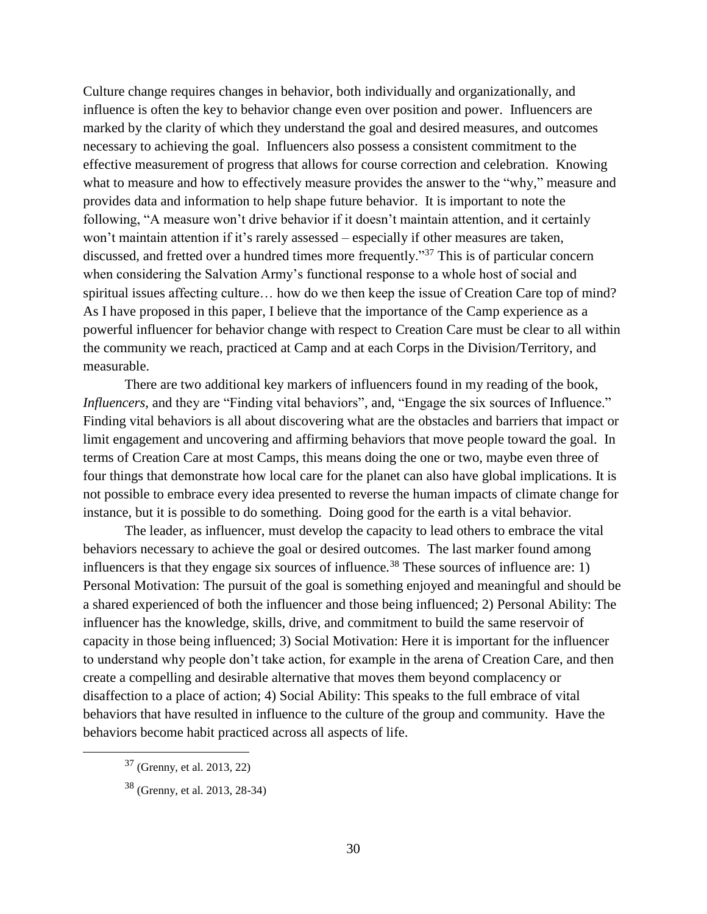Culture change requires changes in behavior, both individually and organizationally, and influence is often the key to behavior change even over position and power. Influencers are marked by the clarity of which they understand the goal and desired measures, and outcomes necessary to achieving the goal. Influencers also possess a consistent commitment to the effective measurement of progress that allows for course correction and celebration. Knowing what to measure and how to effectively measure provides the answer to the "why," measure and provides data and information to help shape future behavior. It is important to note the following, "A measure won't drive behavior if it doesn't maintain attention, and it certainly won't maintain attention if it's rarely assessed – especially if other measures are taken, discussed, and fretted over a hundred times more frequently."<sup>37</sup> This is of particular concern when considering the Salvation Army's functional response to a whole host of social and spiritual issues affecting culture… how do we then keep the issue of Creation Care top of mind? As I have proposed in this paper, I believe that the importance of the Camp experience as a powerful influencer for behavior change with respect to Creation Care must be clear to all within the community we reach, practiced at Camp and at each Corps in the Division/Territory, and measurable.

There are two additional key markers of influencers found in my reading of the book, *Influencers,* and they are "Finding vital behaviors", and, "Engage the six sources of Influence." Finding vital behaviors is all about discovering what are the obstacles and barriers that impact or limit engagement and uncovering and affirming behaviors that move people toward the goal. In terms of Creation Care at most Camps, this means doing the one or two, maybe even three of four things that demonstrate how local care for the planet can also have global implications. It is not possible to embrace every idea presented to reverse the human impacts of climate change for instance, but it is possible to do something. Doing good for the earth is a vital behavior.

The leader, as influencer, must develop the capacity to lead others to embrace the vital behaviors necessary to achieve the goal or desired outcomes. The last marker found among influencers is that they engage six sources of influence.<sup>38</sup> These sources of influence are: 1) Personal Motivation: The pursuit of the goal is something enjoyed and meaningful and should be a shared experienced of both the influencer and those being influenced; 2) Personal Ability: The influencer has the knowledge, skills, drive, and commitment to build the same reservoir of capacity in those being influenced; 3) Social Motivation: Here it is important for the influencer to understand why people don't take action, for example in the arena of Creation Care, and then create a compelling and desirable alternative that moves them beyond complacency or disaffection to a place of action; 4) Social Ability: This speaks to the full embrace of vital behaviors that have resulted in influence to the culture of the group and community. Have the behaviors become habit practiced across all aspects of life.

<sup>37</sup> (Grenny, et al. 2013, 22)

<sup>38</sup> (Grenny, et al. 2013, 28-34)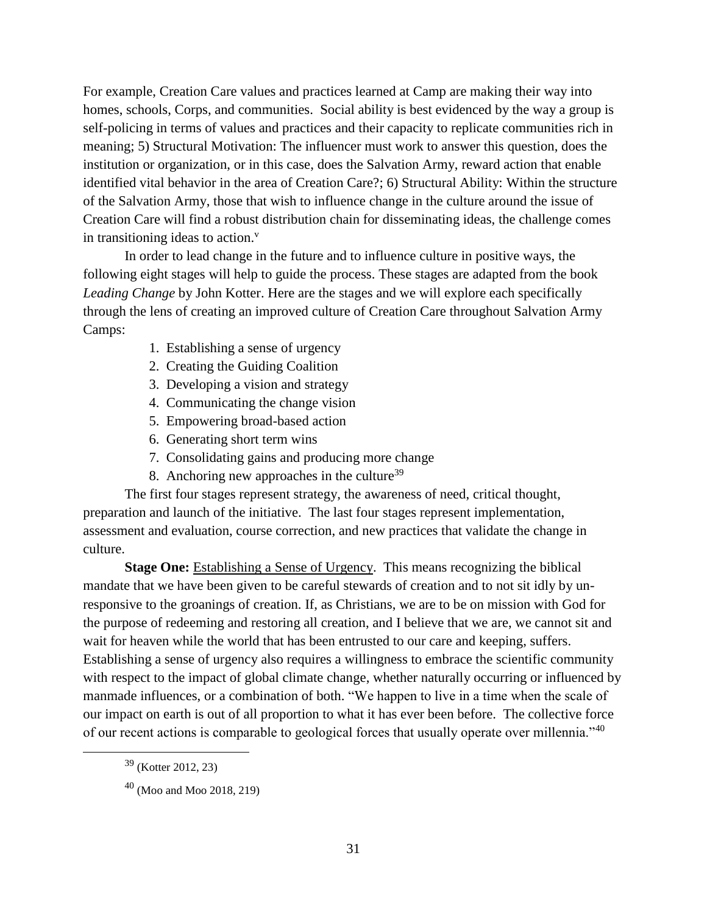For example, Creation Care values and practices learned at Camp are making their way into homes, schools, Corps, and communities. Social ability is best evidenced by the way a group is self-policing in terms of values and practices and their capacity to replicate communities rich in meaning; 5) Structural Motivation: The influencer must work to answer this question, does the institution or organization, or in this case, does the Salvation Army, reward action that enable identified vital behavior in the area of Creation Care?; 6) Structural Ability: Within the structure of the Salvation Army, those that wish to influence change in the culture around the issue of Creation Care will find a robust distribution chain for disseminating ideas, the challenge comes in transitioning ideas to action. $\overline{v}$ 

In order to lead change in the future and to influence culture in positive ways, the following eight stages will help to guide the process. These stages are adapted from the book *Leading Change* by John Kotter. Here are the stages and we will explore each specifically through the lens of creating an improved culture of Creation Care throughout Salvation Army Camps:

- 1. Establishing a sense of urgency
- 2. Creating the Guiding Coalition
- 3. Developing a vision and strategy
- 4. Communicating the change vision
- 5. Empowering broad-based action
- 6. Generating short term wins
- 7. Consolidating gains and producing more change
- 8. Anchoring new approaches in the culture<sup>39</sup>

The first four stages represent strategy, the awareness of need, critical thought, preparation and launch of the initiative. The last four stages represent implementation, assessment and evaluation, course correction, and new practices that validate the change in culture.

**Stage One:** Establishing a Sense of Urgency. This means recognizing the biblical mandate that we have been given to be careful stewards of creation and to not sit idly by unresponsive to the groanings of creation. If, as Christians, we are to be on mission with God for the purpose of redeeming and restoring all creation, and I believe that we are, we cannot sit and wait for heaven while the world that has been entrusted to our care and keeping, suffers. Establishing a sense of urgency also requires a willingness to embrace the scientific community with respect to the impact of global climate change, whether naturally occurring or influenced by manmade influences, or a combination of both. "We happen to live in a time when the scale of our impact on earth is out of all proportion to what it has ever been before. The collective force of our recent actions is comparable to geological forces that usually operate over millennia."<sup>40</sup>

<sup>39</sup> (Kotter 2012, 23)

 $40$  (Moo and Moo 2018, 219)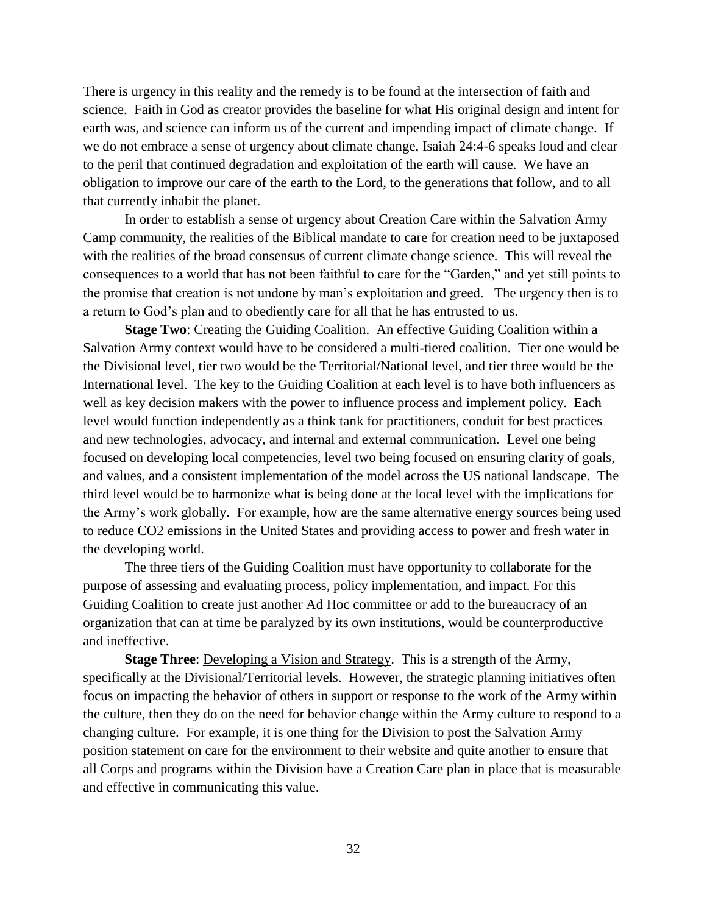There is urgency in this reality and the remedy is to be found at the intersection of faith and science. Faith in God as creator provides the baseline for what His original design and intent for earth was, and science can inform us of the current and impending impact of climate change. If we do not embrace a sense of urgency about climate change, Isaiah 24:4-6 speaks loud and clear to the peril that continued degradation and exploitation of the earth will cause. We have an obligation to improve our care of the earth to the Lord, to the generations that follow, and to all that currently inhabit the planet.

In order to establish a sense of urgency about Creation Care within the Salvation Army Camp community, the realities of the Biblical mandate to care for creation need to be juxtaposed with the realities of the broad consensus of current climate change science. This will reveal the consequences to a world that has not been faithful to care for the "Garden," and yet still points to the promise that creation is not undone by man's exploitation and greed. The urgency then is to a return to God's plan and to obediently care for all that he has entrusted to us.

**Stage Two**: Creating the Guiding Coalition. An effective Guiding Coalition within a Salvation Army context would have to be considered a multi-tiered coalition. Tier one would be the Divisional level, tier two would be the Territorial/National level, and tier three would be the International level. The key to the Guiding Coalition at each level is to have both influencers as well as key decision makers with the power to influence process and implement policy. Each level would function independently as a think tank for practitioners, conduit for best practices and new technologies, advocacy, and internal and external communication. Level one being focused on developing local competencies, level two being focused on ensuring clarity of goals, and values, and a consistent implementation of the model across the US national landscape. The third level would be to harmonize what is being done at the local level with the implications for the Army's work globally. For example, how are the same alternative energy sources being used to reduce CO2 emissions in the United States and providing access to power and fresh water in the developing world.

The three tiers of the Guiding Coalition must have opportunity to collaborate for the purpose of assessing and evaluating process, policy implementation, and impact. For this Guiding Coalition to create just another Ad Hoc committee or add to the bureaucracy of an organization that can at time be paralyzed by its own institutions, would be counterproductive and ineffective.

**Stage Three:** Developing a Vision and Strategy. This is a strength of the Army, specifically at the Divisional/Territorial levels. However, the strategic planning initiatives often focus on impacting the behavior of others in support or response to the work of the Army within the culture, then they do on the need for behavior change within the Army culture to respond to a changing culture. For example, it is one thing for the Division to post the Salvation Army position statement on care for the environment to their website and quite another to ensure that all Corps and programs within the Division have a Creation Care plan in place that is measurable and effective in communicating this value.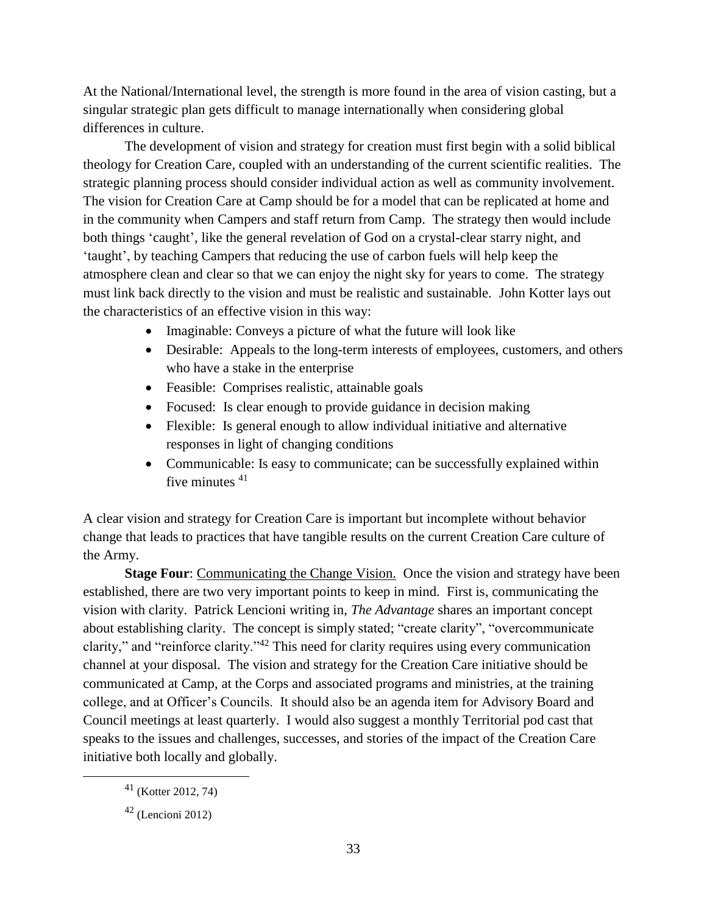At the National/International level, the strength is more found in the area of vision casting, but a singular strategic plan gets difficult to manage internationally when considering global differences in culture.

The development of vision and strategy for creation must first begin with a solid biblical theology for Creation Care, coupled with an understanding of the current scientific realities. The strategic planning process should consider individual action as well as community involvement. The vision for Creation Care at Camp should be for a model that can be replicated at home and in the community when Campers and staff return from Camp. The strategy then would include both things 'caught', like the general revelation of God on a crystal-clear starry night, and 'taught', by teaching Campers that reducing the use of carbon fuels will help keep the atmosphere clean and clear so that we can enjoy the night sky for years to come. The strategy must link back directly to the vision and must be realistic and sustainable. John Kotter lays out the characteristics of an effective vision in this way:

- Imaginable: Conveys a picture of what the future will look like
- Desirable: Appeals to the long-term interests of employees, customers, and others who have a stake in the enterprise
- Feasible: Comprises realistic, attainable goals
- Focused: Is clear enough to provide guidance in decision making
- Flexible: Is general enough to allow individual initiative and alternative responses in light of changing conditions
- Communicable: Is easy to communicate; can be successfully explained within five minutes <sup>41</sup>

A clear vision and strategy for Creation Care is important but incomplete without behavior change that leads to practices that have tangible results on the current Creation Care culture of the Army.

**Stage Four:** Communicating the Change Vision. Once the vision and strategy have been established, there are two very important points to keep in mind. First is, communicating the vision with clarity. Patrick Lencioni writing in, *The Advantage* shares an important concept about establishing clarity. The concept is simply stated; "create clarity", "overcommunicate clarity," and "reinforce clarity."<sup>42</sup> This need for clarity requires using every communication channel at your disposal. The vision and strategy for the Creation Care initiative should be communicated at Camp, at the Corps and associated programs and ministries, at the training college, and at Officer's Councils. It should also be an agenda item for Advisory Board and Council meetings at least quarterly. I would also suggest a monthly Territorial pod cast that speaks to the issues and challenges, successes, and stories of the impact of the Creation Care initiative both locally and globally.

 $41$  (Kotter 2012, 74)

 $42$  (Lencioni 2012)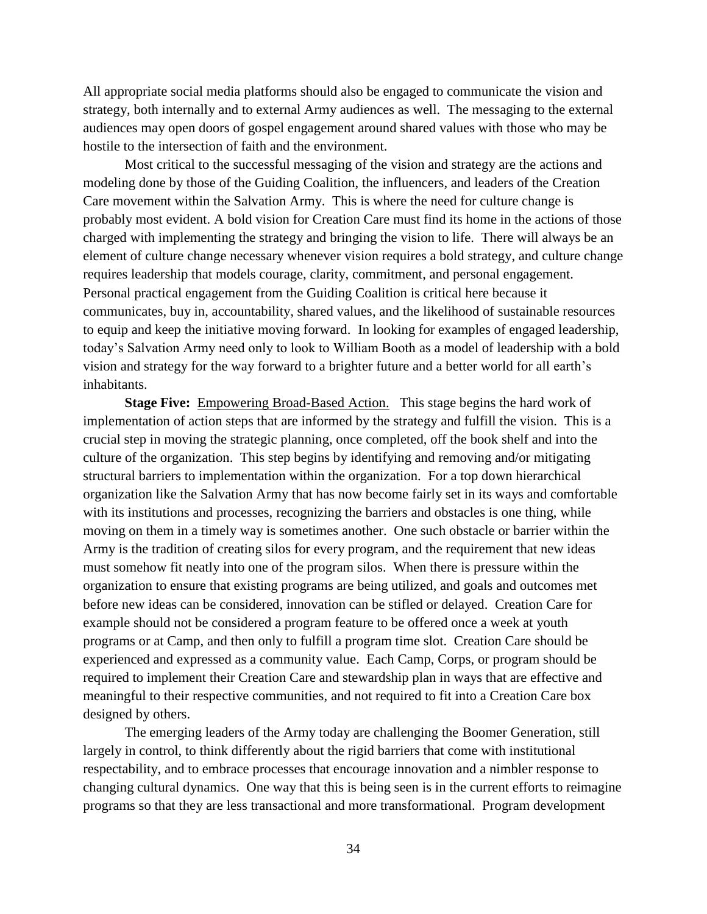All appropriate social media platforms should also be engaged to communicate the vision and strategy, both internally and to external Army audiences as well. The messaging to the external audiences may open doors of gospel engagement around shared values with those who may be hostile to the intersection of faith and the environment.

Most critical to the successful messaging of the vision and strategy are the actions and modeling done by those of the Guiding Coalition, the influencers, and leaders of the Creation Care movement within the Salvation Army. This is where the need for culture change is probably most evident. A bold vision for Creation Care must find its home in the actions of those charged with implementing the strategy and bringing the vision to life. There will always be an element of culture change necessary whenever vision requires a bold strategy, and culture change requires leadership that models courage, clarity, commitment, and personal engagement. Personal practical engagement from the Guiding Coalition is critical here because it communicates, buy in, accountability, shared values, and the likelihood of sustainable resources to equip and keep the initiative moving forward. In looking for examples of engaged leadership, today's Salvation Army need only to look to William Booth as a model of leadership with a bold vision and strategy for the way forward to a brighter future and a better world for all earth's inhabitants.

**Stage Five:** Empowering Broad-Based Action.This stage begins the hard work of implementation of action steps that are informed by the strategy and fulfill the vision. This is a crucial step in moving the strategic planning, once completed, off the book shelf and into the culture of the organization. This step begins by identifying and removing and/or mitigating structural barriers to implementation within the organization. For a top down hierarchical organization like the Salvation Army that has now become fairly set in its ways and comfortable with its institutions and processes, recognizing the barriers and obstacles is one thing, while moving on them in a timely way is sometimes another. One such obstacle or barrier within the Army is the tradition of creating silos for every program, and the requirement that new ideas must somehow fit neatly into one of the program silos. When there is pressure within the organization to ensure that existing programs are being utilized, and goals and outcomes met before new ideas can be considered, innovation can be stifled or delayed. Creation Care for example should not be considered a program feature to be offered once a week at youth programs or at Camp, and then only to fulfill a program time slot. Creation Care should be experienced and expressed as a community value. Each Camp, Corps, or program should be required to implement their Creation Care and stewardship plan in ways that are effective and meaningful to their respective communities, and not required to fit into a Creation Care box designed by others.

The emerging leaders of the Army today are challenging the Boomer Generation, still largely in control, to think differently about the rigid barriers that come with institutional respectability, and to embrace processes that encourage innovation and a nimbler response to changing cultural dynamics. One way that this is being seen is in the current efforts to reimagine programs so that they are less transactional and more transformational. Program development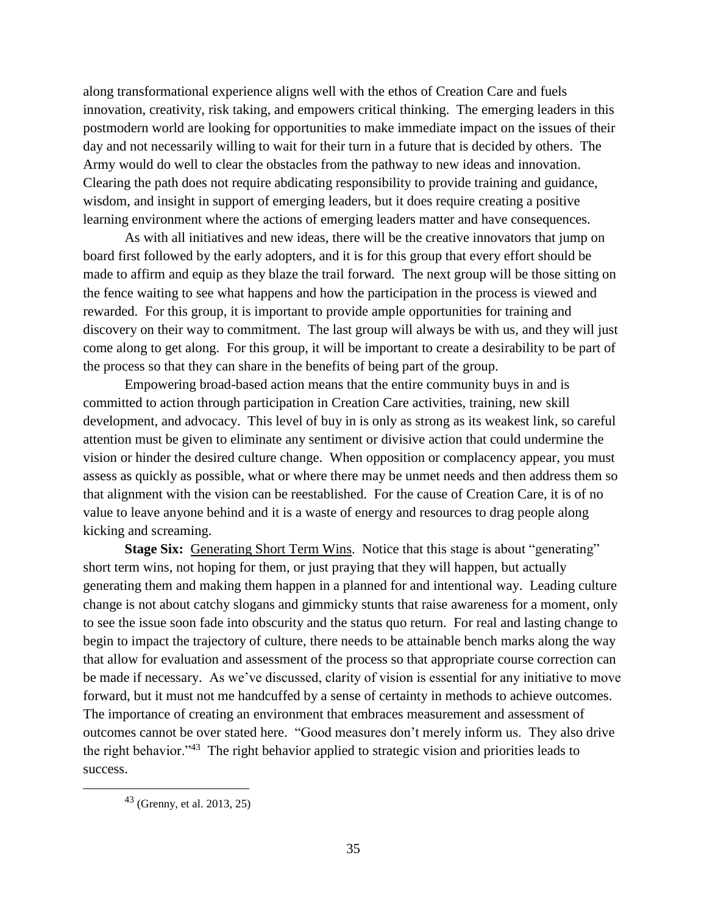along transformational experience aligns well with the ethos of Creation Care and fuels innovation, creativity, risk taking, and empowers critical thinking. The emerging leaders in this postmodern world are looking for opportunities to make immediate impact on the issues of their day and not necessarily willing to wait for their turn in a future that is decided by others. The Army would do well to clear the obstacles from the pathway to new ideas and innovation. Clearing the path does not require abdicating responsibility to provide training and guidance, wisdom, and insight in support of emerging leaders, but it does require creating a positive learning environment where the actions of emerging leaders matter and have consequences.

As with all initiatives and new ideas, there will be the creative innovators that jump on board first followed by the early adopters, and it is for this group that every effort should be made to affirm and equip as they blaze the trail forward. The next group will be those sitting on the fence waiting to see what happens and how the participation in the process is viewed and rewarded. For this group, it is important to provide ample opportunities for training and discovery on their way to commitment. The last group will always be with us, and they will just come along to get along. For this group, it will be important to create a desirability to be part of the process so that they can share in the benefits of being part of the group.

Empowering broad-based action means that the entire community buys in and is committed to action through participation in Creation Care activities, training, new skill development, and advocacy. This level of buy in is only as strong as its weakest link, so careful attention must be given to eliminate any sentiment or divisive action that could undermine the vision or hinder the desired culture change. When opposition or complacency appear, you must assess as quickly as possible, what or where there may be unmet needs and then address them so that alignment with the vision can be reestablished. For the cause of Creation Care, it is of no value to leave anyone behind and it is a waste of energy and resources to drag people along kicking and screaming.

**Stage Six:** Generating Short Term Wins. Notice that this stage is about "generating" short term wins, not hoping for them, or just praying that they will happen, but actually generating them and making them happen in a planned for and intentional way. Leading culture change is not about catchy slogans and gimmicky stunts that raise awareness for a moment, only to see the issue soon fade into obscurity and the status quo return. For real and lasting change to begin to impact the trajectory of culture, there needs to be attainable bench marks along the way that allow for evaluation and assessment of the process so that appropriate course correction can be made if necessary. As we've discussed, clarity of vision is essential for any initiative to move forward, but it must not me handcuffed by a sense of certainty in methods to achieve outcomes. The importance of creating an environment that embraces measurement and assessment of outcomes cannot be over stated here. "Good measures don't merely inform us. They also drive the right behavior."<sup>43</sup> The right behavior applied to strategic vision and priorities leads to success.

<sup>43</sup> (Grenny, et al. 2013, 25)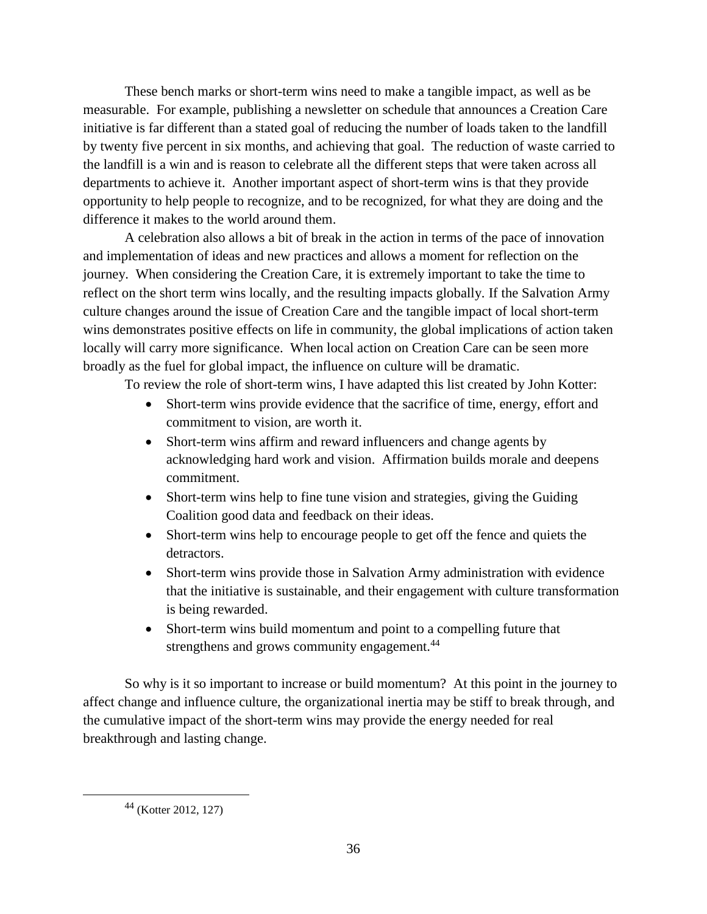These bench marks or short-term wins need to make a tangible impact, as well as be measurable. For example, publishing a newsletter on schedule that announces a Creation Care initiative is far different than a stated goal of reducing the number of loads taken to the landfill by twenty five percent in six months, and achieving that goal. The reduction of waste carried to the landfill is a win and is reason to celebrate all the different steps that were taken across all departments to achieve it. Another important aspect of short-term wins is that they provide opportunity to help people to recognize, and to be recognized, for what they are doing and the difference it makes to the world around them.

A celebration also allows a bit of break in the action in terms of the pace of innovation and implementation of ideas and new practices and allows a moment for reflection on the journey. When considering the Creation Care, it is extremely important to take the time to reflect on the short term wins locally, and the resulting impacts globally. If the Salvation Army culture changes around the issue of Creation Care and the tangible impact of local short-term wins demonstrates positive effects on life in community, the global implications of action taken locally will carry more significance. When local action on Creation Care can be seen more broadly as the fuel for global impact, the influence on culture will be dramatic.

To review the role of short-term wins, I have adapted this list created by John Kotter:

- Short-term wins provide evidence that the sacrifice of time, energy, effort and commitment to vision, are worth it.
- Short-term wins affirm and reward influencers and change agents by acknowledging hard work and vision. Affirmation builds morale and deepens commitment.
- Short-term wins help to fine tune vision and strategies, giving the Guiding Coalition good data and feedback on their ideas.
- Short-term wins help to encourage people to get off the fence and quiets the detractors.
- Short-term wins provide those in Salvation Army administration with evidence that the initiative is sustainable, and their engagement with culture transformation is being rewarded.
- Short-term wins build momentum and point to a compelling future that strengthens and grows community engagement.<sup>44</sup>

So why is it so important to increase or build momentum? At this point in the journey to affect change and influence culture, the organizational inertia may be stiff to break through, and the cumulative impact of the short-term wins may provide the energy needed for real breakthrough and lasting change.

<sup>44</sup> (Kotter 2012, 127)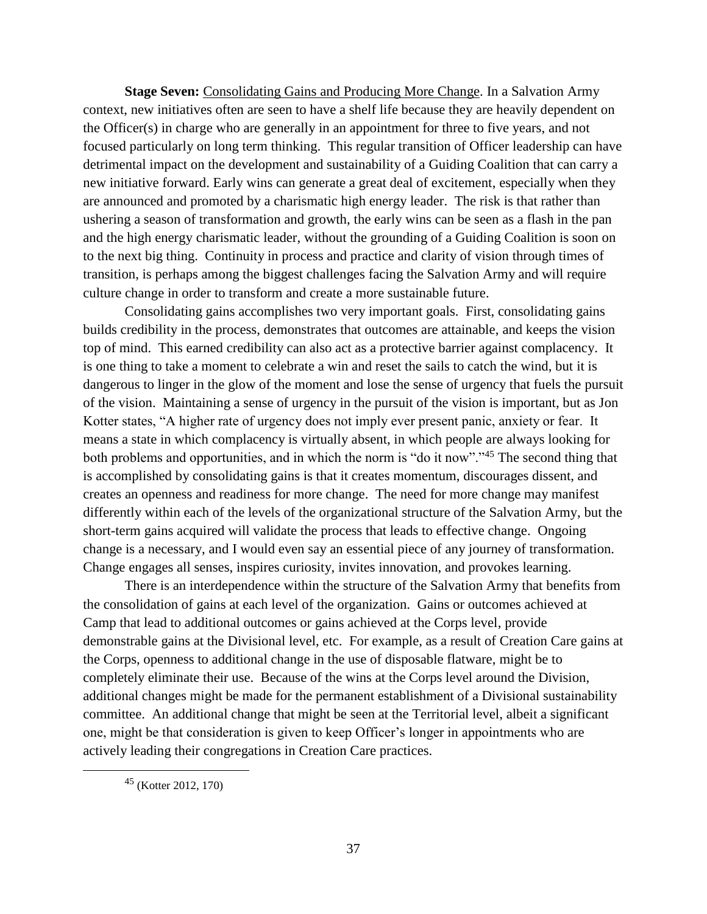**Stage Seven:** Consolidating Gains and Producing More Change. In a Salvation Army context, new initiatives often are seen to have a shelf life because they are heavily dependent on the Officer(s) in charge who are generally in an appointment for three to five years, and not focused particularly on long term thinking. This regular transition of Officer leadership can have detrimental impact on the development and sustainability of a Guiding Coalition that can carry a new initiative forward. Early wins can generate a great deal of excitement, especially when they are announced and promoted by a charismatic high energy leader. The risk is that rather than ushering a season of transformation and growth, the early wins can be seen as a flash in the pan and the high energy charismatic leader, without the grounding of a Guiding Coalition is soon on to the next big thing. Continuity in process and practice and clarity of vision through times of transition, is perhaps among the biggest challenges facing the Salvation Army and will require culture change in order to transform and create a more sustainable future.

Consolidating gains accomplishes two very important goals. First, consolidating gains builds credibility in the process, demonstrates that outcomes are attainable, and keeps the vision top of mind. This earned credibility can also act as a protective barrier against complacency. It is one thing to take a moment to celebrate a win and reset the sails to catch the wind, but it is dangerous to linger in the glow of the moment and lose the sense of urgency that fuels the pursuit of the vision. Maintaining a sense of urgency in the pursuit of the vision is important, but as Jon Kotter states, "A higher rate of urgency does not imply ever present panic, anxiety or fear. It means a state in which complacency is virtually absent, in which people are always looking for both problems and opportunities, and in which the norm is "do it now"."<sup>45</sup> The second thing that is accomplished by consolidating gains is that it creates momentum, discourages dissent, and creates an openness and readiness for more change. The need for more change may manifest differently within each of the levels of the organizational structure of the Salvation Army, but the short-term gains acquired will validate the process that leads to effective change. Ongoing change is a necessary, and I would even say an essential piece of any journey of transformation. Change engages all senses, inspires curiosity, invites innovation, and provokes learning.

There is an interdependence within the structure of the Salvation Army that benefits from the consolidation of gains at each level of the organization. Gains or outcomes achieved at Camp that lead to additional outcomes or gains achieved at the Corps level, provide demonstrable gains at the Divisional level, etc. For example, as a result of Creation Care gains at the Corps, openness to additional change in the use of disposable flatware, might be to completely eliminate their use. Because of the wins at the Corps level around the Division, additional changes might be made for the permanent establishment of a Divisional sustainability committee. An additional change that might be seen at the Territorial level, albeit a significant one, might be that consideration is given to keep Officer's longer in appointments who are actively leading their congregations in Creation Care practices.

 $45$  (Kotter 2012, 170)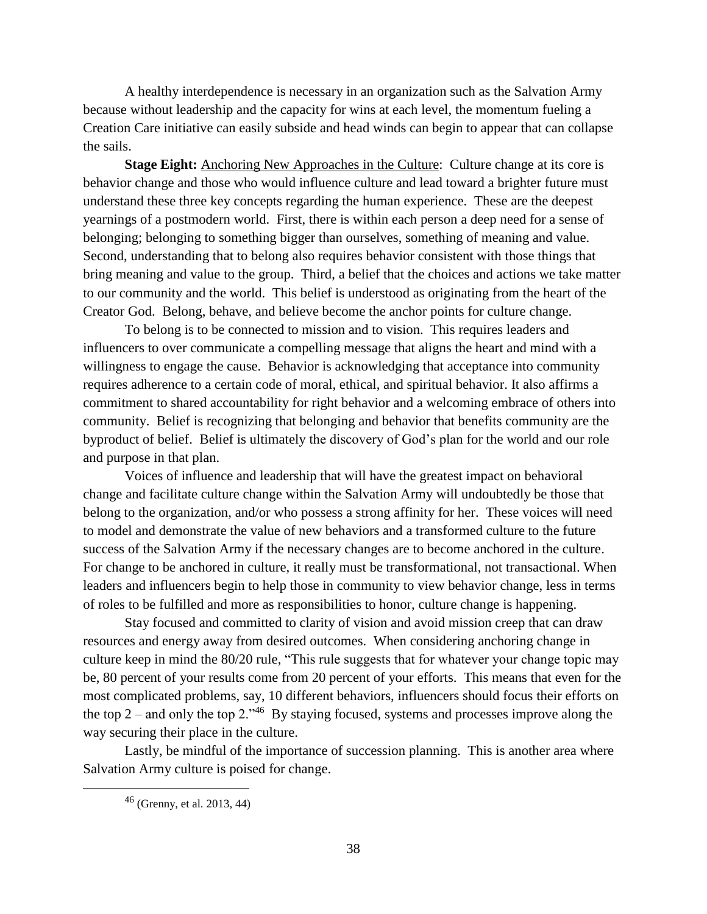A healthy interdependence is necessary in an organization such as the Salvation Army because without leadership and the capacity for wins at each level, the momentum fueling a Creation Care initiative can easily subside and head winds can begin to appear that can collapse the sails.

**Stage Eight:** Anchoring New Approaches in the Culture: Culture change at its core is behavior change and those who would influence culture and lead toward a brighter future must understand these three key concepts regarding the human experience. These are the deepest yearnings of a postmodern world. First, there is within each person a deep need for a sense of belonging; belonging to something bigger than ourselves, something of meaning and value. Second, understanding that to belong also requires behavior consistent with those things that bring meaning and value to the group. Third, a belief that the choices and actions we take matter to our community and the world. This belief is understood as originating from the heart of the Creator God. Belong, behave, and believe become the anchor points for culture change.

To belong is to be connected to mission and to vision. This requires leaders and influencers to over communicate a compelling message that aligns the heart and mind with a willingness to engage the cause. Behavior is acknowledging that acceptance into community requires adherence to a certain code of moral, ethical, and spiritual behavior. It also affirms a commitment to shared accountability for right behavior and a welcoming embrace of others into community. Belief is recognizing that belonging and behavior that benefits community are the byproduct of belief. Belief is ultimately the discovery of God's plan for the world and our role and purpose in that plan.

Voices of influence and leadership that will have the greatest impact on behavioral change and facilitate culture change within the Salvation Army will undoubtedly be those that belong to the organization, and/or who possess a strong affinity for her. These voices will need to model and demonstrate the value of new behaviors and a transformed culture to the future success of the Salvation Army if the necessary changes are to become anchored in the culture. For change to be anchored in culture, it really must be transformational, not transactional. When leaders and influencers begin to help those in community to view behavior change, less in terms of roles to be fulfilled and more as responsibilities to honor, culture change is happening.

Stay focused and committed to clarity of vision and avoid mission creep that can draw resources and energy away from desired outcomes. When considering anchoring change in culture keep in mind the 80/20 rule, "This rule suggests that for whatever your change topic may be, 80 percent of your results come from 20 percent of your efforts. This means that even for the most complicated problems, say, 10 different behaviors, influencers should focus their efforts on the top  $2$  – and only the top 2.<sup>346</sup> By staying focused, systems and processes improve along the way securing their place in the culture.

Lastly, be mindful of the importance of succession planning. This is another area where Salvation Army culture is poised for change.

 $46$  (Grenny, et al. 2013, 44)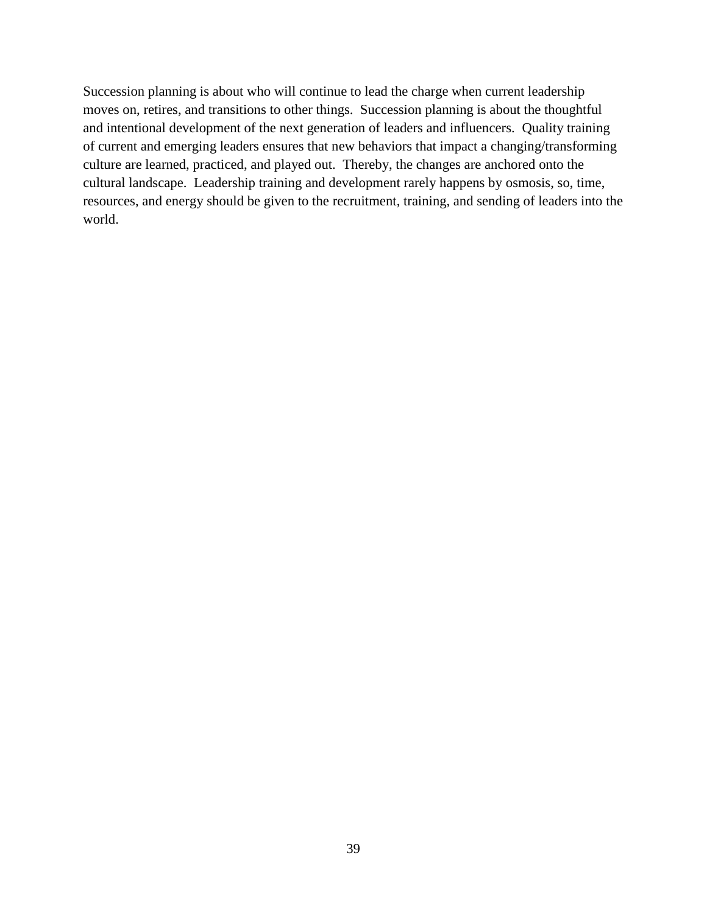Succession planning is about who will continue to lead the charge when current leadership moves on, retires, and transitions to other things. Succession planning is about the thoughtful and intentional development of the next generation of leaders and influencers. Quality training of current and emerging leaders ensures that new behaviors that impact a changing/transforming culture are learned, practiced, and played out. Thereby, the changes are anchored onto the cultural landscape. Leadership training and development rarely happens by osmosis, so, time, resources, and energy should be given to the recruitment, training, and sending of leaders into the world.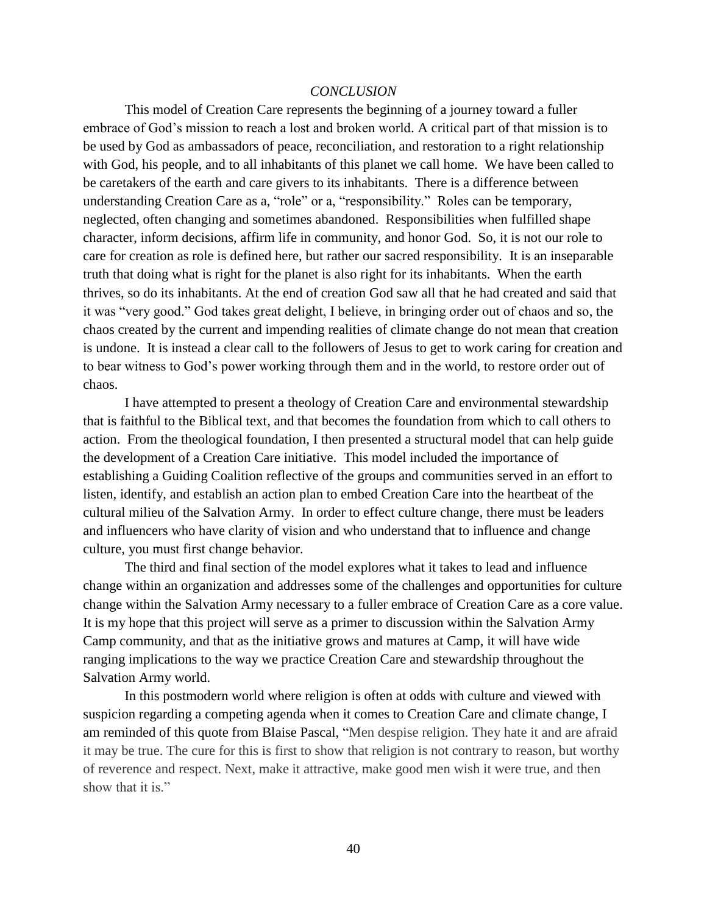#### *CONCLUSION*

This model of Creation Care represents the beginning of a journey toward a fuller embrace of God's mission to reach a lost and broken world. A critical part of that mission is to be used by God as ambassadors of peace, reconciliation, and restoration to a right relationship with God, his people, and to all inhabitants of this planet we call home. We have been called to be caretakers of the earth and care givers to its inhabitants. There is a difference between understanding Creation Care as a, "role" or a, "responsibility." Roles can be temporary, neglected, often changing and sometimes abandoned. Responsibilities when fulfilled shape character, inform decisions, affirm life in community, and honor God. So, it is not our role to care for creation as role is defined here, but rather our sacred responsibility. It is an inseparable truth that doing what is right for the planet is also right for its inhabitants. When the earth thrives, so do its inhabitants. At the end of creation God saw all that he had created and said that it was "very good." God takes great delight, I believe, in bringing order out of chaos and so, the chaos created by the current and impending realities of climate change do not mean that creation is undone. It is instead a clear call to the followers of Jesus to get to work caring for creation and to bear witness to God's power working through them and in the world, to restore order out of chaos.

I have attempted to present a theology of Creation Care and environmental stewardship that is faithful to the Biblical text, and that becomes the foundation from which to call others to action. From the theological foundation, I then presented a structural model that can help guide the development of a Creation Care initiative. This model included the importance of establishing a Guiding Coalition reflective of the groups and communities served in an effort to listen, identify, and establish an action plan to embed Creation Care into the heartbeat of the cultural milieu of the Salvation Army. In order to effect culture change, there must be leaders and influencers who have clarity of vision and who understand that to influence and change culture, you must first change behavior.

The third and final section of the model explores what it takes to lead and influence change within an organization and addresses some of the challenges and opportunities for culture change within the Salvation Army necessary to a fuller embrace of Creation Care as a core value. It is my hope that this project will serve as a primer to discussion within the Salvation Army Camp community, and that as the initiative grows and matures at Camp, it will have wide ranging implications to the way we practice Creation Care and stewardship throughout the Salvation Army world.

In this postmodern world where religion is often at odds with culture and viewed with suspicion regarding a competing agenda when it comes to Creation Care and climate change, I am reminded of this quote from Blaise Pascal, "Men despise religion. They hate it and are afraid it may be true. The cure for this is first to show that religion is not contrary to reason, but worthy of reverence and respect. Next, make it attractive, make good men wish it were true, and then show that it is."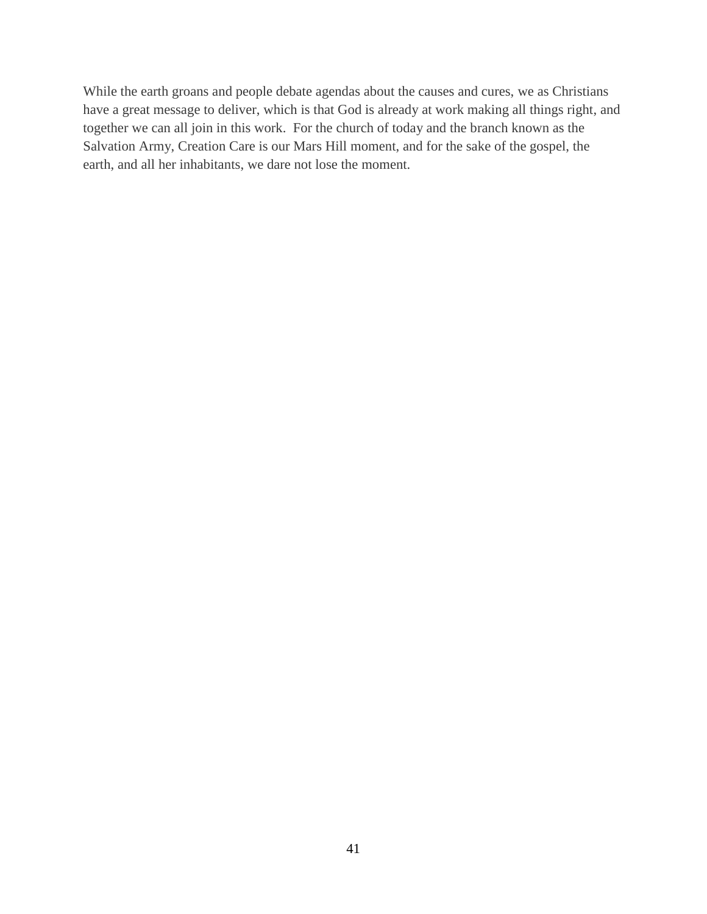While the earth groans and people debate agendas about the causes and cures, we as Christians have a great message to deliver, which is that God is already at work making all things right, and together we can all join in this work. For the church of today and the branch known as the Salvation Army, Creation Care is our Mars Hill moment, and for the sake of the gospel, the earth, and all her inhabitants, we dare not lose the moment.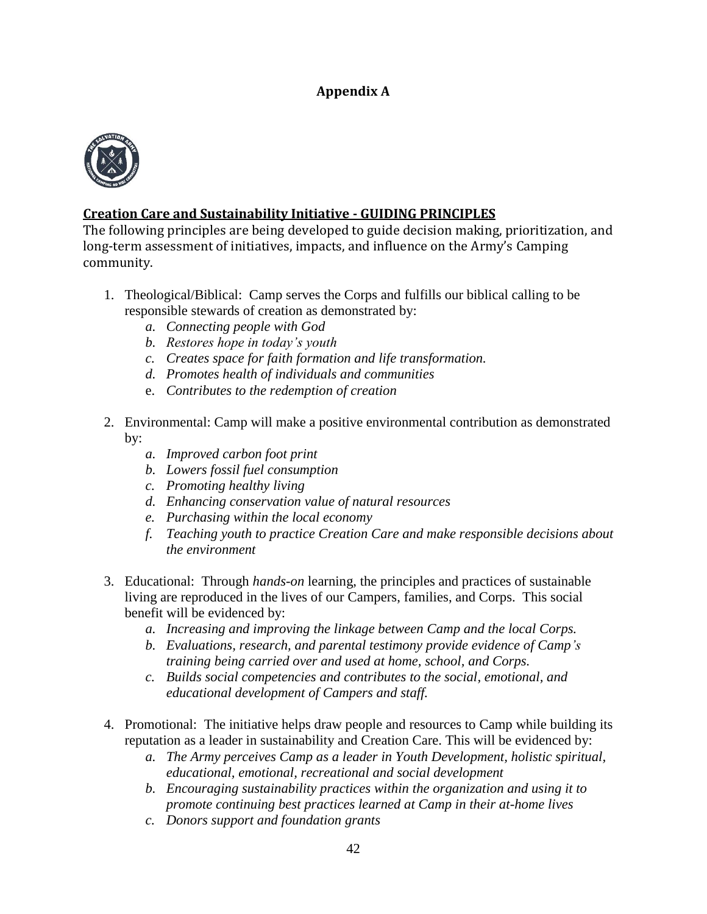## **Appendix A**



## **Creation Care and Sustainability Initiative - GUIDING PRINCIPLES**

The following principles are being developed to guide decision making, prioritization, and long-term assessment of initiatives, impacts, and influence on the Army's Camping community.

- 1. Theological/Biblical: Camp serves the Corps and fulfills our biblical calling to be responsible stewards of creation as demonstrated by:
	- *a. Connecting people with God*
	- *b. Restores hope in today's youth*
	- *c. Creates space for faith formation and life transformation.*
	- *d. Promotes health of individuals and communities*
	- e. *Contributes to the redemption of creation*
- 2. Environmental: Camp will make a positive environmental contribution as demonstrated by:
	- *a. Improved carbon foot print*
	- *b. Lowers fossil fuel consumption*
	- *c. Promoting healthy living*
	- *d. Enhancing conservation value of natural resources*
	- *e. Purchasing within the local economy*
	- *f. Teaching youth to practice Creation Care and make responsible decisions about the environment*
- 3. Educational: Through *hands-on* learning, the principles and practices of sustainable living are reproduced in the lives of our Campers, families, and Corps. This social benefit will be evidenced by:
	- *a. Increasing and improving the linkage between Camp and the local Corps.*
	- *b. Evaluations, research, and parental testimony provide evidence of Camp's training being carried over and used at home, school, and Corps.*
	- *c. Builds social competencies and contributes to the social, emotional, and educational development of Campers and staff.*
- 4. Promotional: The initiative helps draw people and resources to Camp while building its reputation as a leader in sustainability and Creation Care. This will be evidenced by:
	- *a. The Army perceives Camp as a leader in Youth Development, holistic spiritual, educational, emotional, recreational and social development*
	- *b. Encouraging sustainability practices within the organization and using it to promote continuing best practices learned at Camp in their at-home lives*
	- *c. Donors support and foundation grants*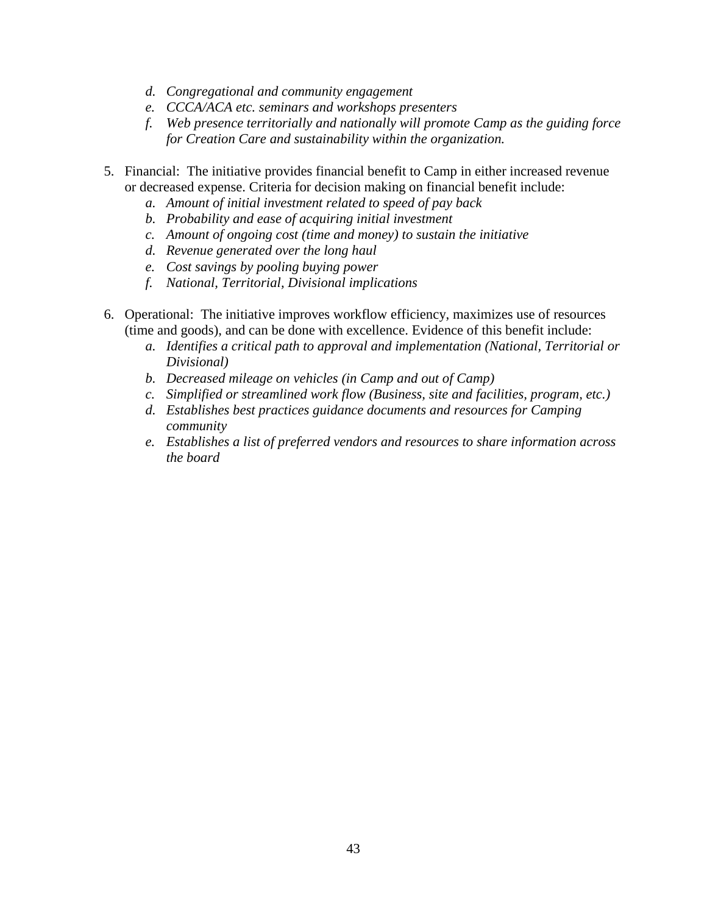- *d. Congregational and community engagement*
- *e. CCCA/ACA etc. seminars and workshops presenters*
- *f. Web presence territorially and nationally will promote Camp as the guiding force for Creation Care and sustainability within the organization.*
- 5. Financial: The initiative provides financial benefit to Camp in either increased revenue or decreased expense. Criteria for decision making on financial benefit include:
	- *a. Amount of initial investment related to speed of pay back*
	- *b. Probability and ease of acquiring initial investment*
	- *c. Amount of ongoing cost (time and money) to sustain the initiative*
	- *d. Revenue generated over the long haul*
	- *e. Cost savings by pooling buying power*
	- *f. National, Territorial, Divisional implications*
- 6. Operational: The initiative improves workflow efficiency, maximizes use of resources (time and goods), and can be done with excellence. Evidence of this benefit include:
	- *a. Identifies a critical path to approval and implementation (National, Territorial or Divisional)*
	- *b. Decreased mileage on vehicles (in Camp and out of Camp)*
	- *c. Simplified or streamlined work flow (Business, site and facilities, program, etc.)*
	- *d. Establishes best practices guidance documents and resources for Camping community*
	- *e. Establishes a list of preferred vendors and resources to share information across the board*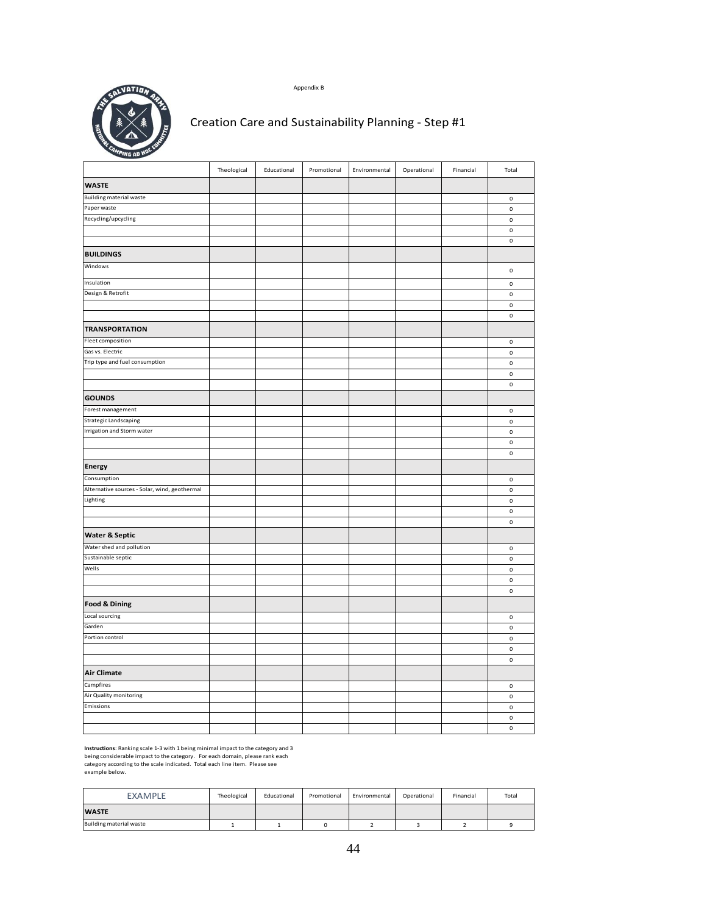



## Creation Care and Sustainability Planning - Step #1

|                                               | Theological | Educational | Promotional | Environmental | Operational | Financial | Total       |
|-----------------------------------------------|-------------|-------------|-------------|---------------|-------------|-----------|-------------|
| <b>WASTE</b>                                  |             |             |             |               |             |           |             |
| <b>Building material waste</b>                |             |             |             |               |             |           | $\pmb{0}$   |
| Paper waste                                   |             |             |             |               |             |           | $\mathbf 0$ |
| Recycling/upcycling                           |             |             |             |               |             |           | $\mathbf 0$ |
|                                               |             |             |             |               |             |           | $\pmb{0}$   |
|                                               |             |             |             |               |             |           | $\mathbf 0$ |
| <b>BUILDINGS</b>                              |             |             |             |               |             |           |             |
| Windows                                       |             |             |             |               |             |           | $\pmb{0}$   |
| Insulation                                    |             |             |             |               |             |           | $\pmb{0}$   |
| Design & Retrofit                             |             |             |             |               |             |           | $\pmb{0}$   |
|                                               |             |             |             |               |             |           | $\pmb{0}$   |
|                                               |             |             |             |               |             |           | $\mathbf 0$ |
| <b>TRANSPORTATION</b>                         |             |             |             |               |             |           |             |
| Fleet composition                             |             |             |             |               |             |           | $\bf{0}$    |
| Gas vs. Electric                              |             |             |             |               |             |           | $\mathbf 0$ |
| Trip type and fuel consumption                |             |             |             |               |             |           | $\pmb{0}$   |
|                                               |             |             |             |               |             |           | $\pmb{0}$   |
|                                               |             |             |             |               |             |           | $\mathbf 0$ |
| <b>GOUNDS</b>                                 |             |             |             |               |             |           |             |
| Forest management                             |             |             |             |               |             |           | $\bf{0}$    |
| Strategic Landscaping                         |             |             |             |               |             |           | $\pmb{0}$   |
| Irrigation and Storm water                    |             |             |             |               |             |           | $\pmb{0}$   |
|                                               |             |             |             |               |             |           | $\bf{0}$    |
|                                               |             |             |             |               |             |           | $\mathbf 0$ |
| <b>Energy</b>                                 |             |             |             |               |             |           |             |
| Consumption                                   |             |             |             |               |             |           | $\bf{0}$    |
| Alternative sources - Solar, wind, geothermal |             |             |             |               |             |           | $\mathbf 0$ |
| Lighting                                      |             |             |             |               |             |           | $\pmb{0}$   |
|                                               |             |             |             |               |             |           | $\pmb{0}$   |
|                                               |             |             |             |               |             |           | $\mathbf 0$ |
| <b>Water &amp; Septic</b>                     |             |             |             |               |             |           |             |
| Water shed and pollution                      |             |             |             |               |             |           | $\pmb{0}$   |
| Sustainable septic                            |             |             |             |               |             |           | $\pmb{0}$   |
| Wells                                         |             |             |             |               |             |           | $\pmb{0}$   |
|                                               |             |             |             |               |             |           | $\pmb{0}$   |
|                                               |             |             |             |               |             |           | $\mathbf 0$ |
| <b>Food &amp; Dining</b>                      |             |             |             |               |             |           |             |
| Local sourcing                                |             |             |             |               |             |           | $\pmb{0}$   |
| Garden                                        |             |             |             |               |             |           | $\mathbf 0$ |
| Portion control                               |             |             |             |               |             |           | $\pmb{0}$   |
|                                               |             |             |             |               |             |           | $\pmb{0}$   |
|                                               |             |             |             |               |             |           | $\mathbf 0$ |
| <b>Air Climate</b>                            |             |             |             |               |             |           |             |
| Campfires                                     |             |             |             |               |             |           | $\pmb{0}$   |
| Air Quality monitoring                        |             |             |             |               |             |           | $\mathbf 0$ |
| Emissions                                     |             |             |             |               |             |           | $\pmb{0}$   |
|                                               |             |             |             |               |             |           | $\pmb{0}$   |
|                                               |             |             |             |               |             |           | $\mathbf 0$ |

**Instructions**: Ranking scale 1-3 with 1 being minimal impact to the category and 3<br>being considerable impact to the category. For each domain, please rank each<br>category according to the scale indicated. Total each line it

| example below |  |  |
|---------------|--|--|

| <b>EXAMPLE</b>          | Theological | Educational | Promotional | Environmental | Operational | Financial | Total |
|-------------------------|-------------|-------------|-------------|---------------|-------------|-----------|-------|
| <b>WASTE</b>            |             |             |             |               |             |           |       |
| Building material waste |             |             |             |               |             |           |       |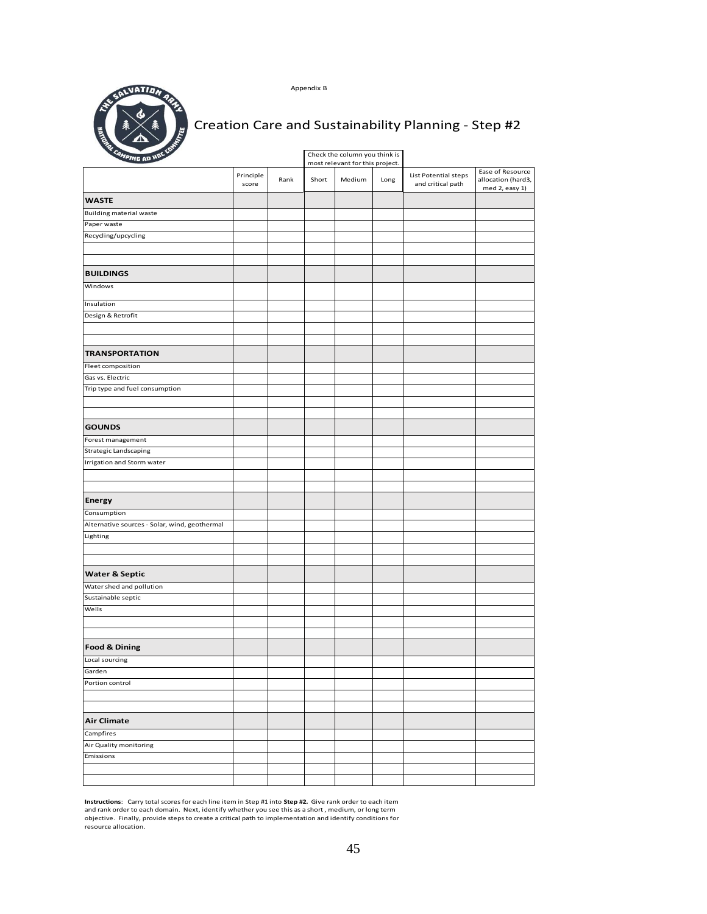Appendix B



# Creation Care and Sustainability Planning - Step #2

| CAMPING AD HOL CO                                   |                    |      |       | Check the column you think is<br>most relevant for this project. |      |                                           |                                                          |
|-----------------------------------------------------|--------------------|------|-------|------------------------------------------------------------------|------|-------------------------------------------|----------------------------------------------------------|
|                                                     | Principle<br>score | Rank | Short | Medium                                                           | Long | List Potential steps<br>and critical path | Ease of Resource<br>allocation (hard3,<br>med 2, easy 1) |
| <b>WASTE</b>                                        |                    |      |       |                                                                  |      |                                           |                                                          |
| <b>Building material waste</b>                      |                    |      |       |                                                                  |      |                                           |                                                          |
| Paper waste                                         |                    |      |       |                                                                  |      |                                           |                                                          |
| Recycling/upcycling                                 |                    |      |       |                                                                  |      |                                           |                                                          |
|                                                     |                    |      |       |                                                                  |      |                                           |                                                          |
|                                                     |                    |      |       |                                                                  |      |                                           |                                                          |
| <b>BUILDINGS</b>                                    |                    |      |       |                                                                  |      |                                           |                                                          |
| Windows                                             |                    |      |       |                                                                  |      |                                           |                                                          |
| Insulation                                          |                    |      |       |                                                                  |      |                                           |                                                          |
| Design & Retrofit                                   |                    |      |       |                                                                  |      |                                           |                                                          |
|                                                     |                    |      |       |                                                                  |      |                                           |                                                          |
| <b>TRANSPORTATION</b>                               |                    |      |       |                                                                  |      |                                           |                                                          |
| Fleet composition                                   |                    |      |       |                                                                  |      |                                           |                                                          |
| Gas vs. Electric                                    |                    |      |       |                                                                  |      |                                           |                                                          |
| Trip type and fuel consumption                      |                    |      |       |                                                                  |      |                                           |                                                          |
|                                                     |                    |      |       |                                                                  |      |                                           |                                                          |
|                                                     |                    |      |       |                                                                  |      |                                           |                                                          |
| <b>GOUNDS</b>                                       |                    |      |       |                                                                  |      |                                           |                                                          |
|                                                     |                    |      |       |                                                                  |      |                                           |                                                          |
| Forest management                                   |                    |      |       |                                                                  |      |                                           |                                                          |
| Strategic Landscaping<br>Irrigation and Storm water |                    |      |       |                                                                  |      |                                           |                                                          |
|                                                     |                    |      |       |                                                                  |      |                                           |                                                          |
|                                                     |                    |      |       |                                                                  |      |                                           |                                                          |
| <b>Energy</b>                                       |                    |      |       |                                                                  |      |                                           |                                                          |
| Consumption                                         |                    |      |       |                                                                  |      |                                           |                                                          |
| Alternative sources - Solar, wind, geothermal       |                    |      |       |                                                                  |      |                                           |                                                          |
| Lighting                                            |                    |      |       |                                                                  |      |                                           |                                                          |
|                                                     |                    |      |       |                                                                  |      |                                           |                                                          |
|                                                     |                    |      |       |                                                                  |      |                                           |                                                          |
| <b>Water &amp; Septic</b>                           |                    |      |       |                                                                  |      |                                           |                                                          |
| Water shed and pollution                            |                    |      |       |                                                                  |      |                                           |                                                          |
| Sustainable septic                                  |                    |      |       |                                                                  |      |                                           |                                                          |
| Wells                                               |                    |      |       |                                                                  |      |                                           |                                                          |
|                                                     |                    |      |       |                                                                  |      |                                           |                                                          |
|                                                     |                    |      |       |                                                                  |      |                                           |                                                          |
| <b>Food &amp; Dining</b>                            |                    |      |       |                                                                  |      |                                           |                                                          |
| Local sourcing                                      |                    |      |       |                                                                  |      |                                           |                                                          |
| Garden                                              |                    |      |       |                                                                  |      |                                           |                                                          |
| Portion control                                     |                    |      |       |                                                                  |      |                                           |                                                          |
|                                                     |                    |      |       |                                                                  |      |                                           |                                                          |
|                                                     |                    |      |       |                                                                  |      |                                           |                                                          |
| <b>Air Climate</b>                                  |                    |      |       |                                                                  |      |                                           |                                                          |
| Campfires                                           |                    |      |       |                                                                  |      |                                           |                                                          |
| Air Quality monitoring                              |                    |      |       |                                                                  |      |                                           |                                                          |
| Emissions                                           |                    |      |       |                                                                  |      |                                           |                                                          |
|                                                     |                    |      |       |                                                                  |      |                                           |                                                          |
|                                                     |                    |      |       |                                                                  |      |                                           |                                                          |

**Instructions**: Carry total scores for each line item in Step #1 into **Step #2.** Give rank order to each item and rank order to each domain. Next, identify whether you see this as a short , medium, or long term objective. Finally, provide steps to create a critical path to implementation and identify conditions for resource allocation.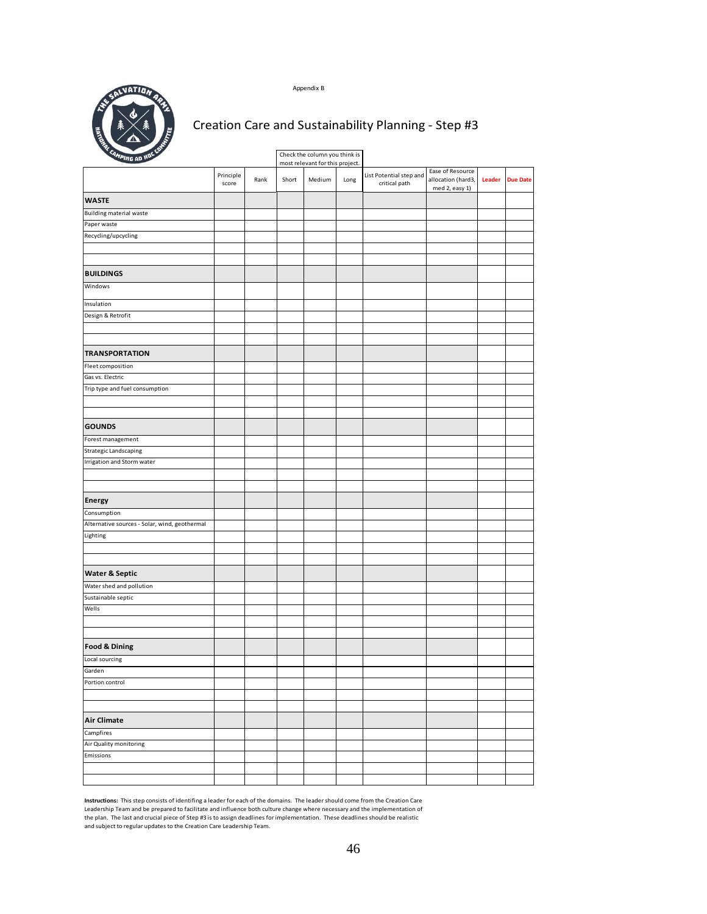



## Creation Care and Sustainability Planning - Step #3

| <b>CAMPING AD HOL C.</b>                      |                    |      | Check the column you think is<br>most relevant for this project. |        |      |                                          |                                                          |        |                 |
|-----------------------------------------------|--------------------|------|------------------------------------------------------------------|--------|------|------------------------------------------|----------------------------------------------------------|--------|-----------------|
|                                               | Principle<br>score | Rank | Short                                                            | Medium | Long | List Potential step and<br>critical path | Ease of Resource<br>allocation (hard3,<br>med 2, easy 1) | Leader | <b>Due Date</b> |
| <b>WASTE</b>                                  |                    |      |                                                                  |        |      |                                          |                                                          |        |                 |
| <b>Building material waste</b>                |                    |      |                                                                  |        |      |                                          |                                                          |        |                 |
| Paper waste                                   |                    |      |                                                                  |        |      |                                          |                                                          |        |                 |
| Recycling/upcycling                           |                    |      |                                                                  |        |      |                                          |                                                          |        |                 |
|                                               |                    |      |                                                                  |        |      |                                          |                                                          |        |                 |
|                                               |                    |      |                                                                  |        |      |                                          |                                                          |        |                 |
| <b>BUILDINGS</b>                              |                    |      |                                                                  |        |      |                                          |                                                          |        |                 |
| Windows                                       |                    |      |                                                                  |        |      |                                          |                                                          |        |                 |
| Insulation                                    |                    |      |                                                                  |        |      |                                          |                                                          |        |                 |
| Design & Retrofit                             |                    |      |                                                                  |        |      |                                          |                                                          |        |                 |
|                                               |                    |      |                                                                  |        |      |                                          |                                                          |        |                 |
|                                               |                    |      |                                                                  |        |      |                                          |                                                          |        |                 |
| <b>TRANSPORTATION</b>                         |                    |      |                                                                  |        |      |                                          |                                                          |        |                 |
| Fleet composition                             |                    |      |                                                                  |        |      |                                          |                                                          |        |                 |
| Gas vs. Electric                              |                    |      |                                                                  |        |      |                                          |                                                          |        |                 |
| Trip type and fuel consumption                |                    |      |                                                                  |        |      |                                          |                                                          |        |                 |
|                                               |                    |      |                                                                  |        |      |                                          |                                                          |        |                 |
|                                               |                    |      |                                                                  |        |      |                                          |                                                          |        |                 |
| <b>GOUNDS</b>                                 |                    |      |                                                                  |        |      |                                          |                                                          |        |                 |
| Forest management                             |                    |      |                                                                  |        |      |                                          |                                                          |        |                 |
| Strategic Landscaping                         |                    |      |                                                                  |        |      |                                          |                                                          |        |                 |
| Irrigation and Storm water                    |                    |      |                                                                  |        |      |                                          |                                                          |        |                 |
|                                               |                    |      |                                                                  |        |      |                                          |                                                          |        |                 |
|                                               |                    |      |                                                                  |        |      |                                          |                                                          |        |                 |
| <b>Energy</b>                                 |                    |      |                                                                  |        |      |                                          |                                                          |        |                 |
| Consumption                                   |                    |      |                                                                  |        |      |                                          |                                                          |        |                 |
| Alternative sources - Solar, wind, geothermal |                    |      |                                                                  |        |      |                                          |                                                          |        |                 |
| Lighting                                      |                    |      |                                                                  |        |      |                                          |                                                          |        |                 |
|                                               |                    |      |                                                                  |        |      |                                          |                                                          |        |                 |
|                                               |                    |      |                                                                  |        |      |                                          |                                                          |        |                 |
| <b>Water &amp; Septic</b>                     |                    |      |                                                                  |        |      |                                          |                                                          |        |                 |
| Water shed and pollution                      |                    |      |                                                                  |        |      |                                          |                                                          |        |                 |
| Sustainable septic                            |                    |      |                                                                  |        |      |                                          |                                                          |        |                 |
| Wells                                         |                    |      |                                                                  |        |      |                                          |                                                          |        |                 |
|                                               |                    |      |                                                                  |        |      |                                          |                                                          |        |                 |
|                                               |                    |      |                                                                  |        |      |                                          |                                                          |        |                 |
| <b>Food &amp; Dining</b>                      |                    |      |                                                                  |        |      |                                          |                                                          |        |                 |
| Local sourcing                                |                    |      |                                                                  |        |      |                                          |                                                          |        |                 |
| Garden                                        |                    |      |                                                                  |        |      |                                          |                                                          |        |                 |
| Portion control                               |                    |      |                                                                  |        |      |                                          |                                                          |        |                 |
|                                               |                    |      |                                                                  |        |      |                                          |                                                          |        |                 |
|                                               |                    |      |                                                                  |        |      |                                          |                                                          |        |                 |
| <b>Air Climate</b>                            |                    |      |                                                                  |        |      |                                          |                                                          |        |                 |
| Campfires                                     |                    |      |                                                                  |        |      |                                          |                                                          |        |                 |
| Air Quality monitoring                        |                    |      |                                                                  |        |      |                                          |                                                          |        |                 |
| Emissions                                     |                    |      |                                                                  |        |      |                                          |                                                          |        |                 |
|                                               |                    |      |                                                                  |        |      |                                          |                                                          |        |                 |
|                                               |                    |      |                                                                  |        |      |                                          |                                                          |        |                 |

**Instructions**: This step consists of identifing a leader for each of the domains. The leader should come from the Creation Care<br>Leadership Team and be prepared to facilitate and influence both culture change where necessa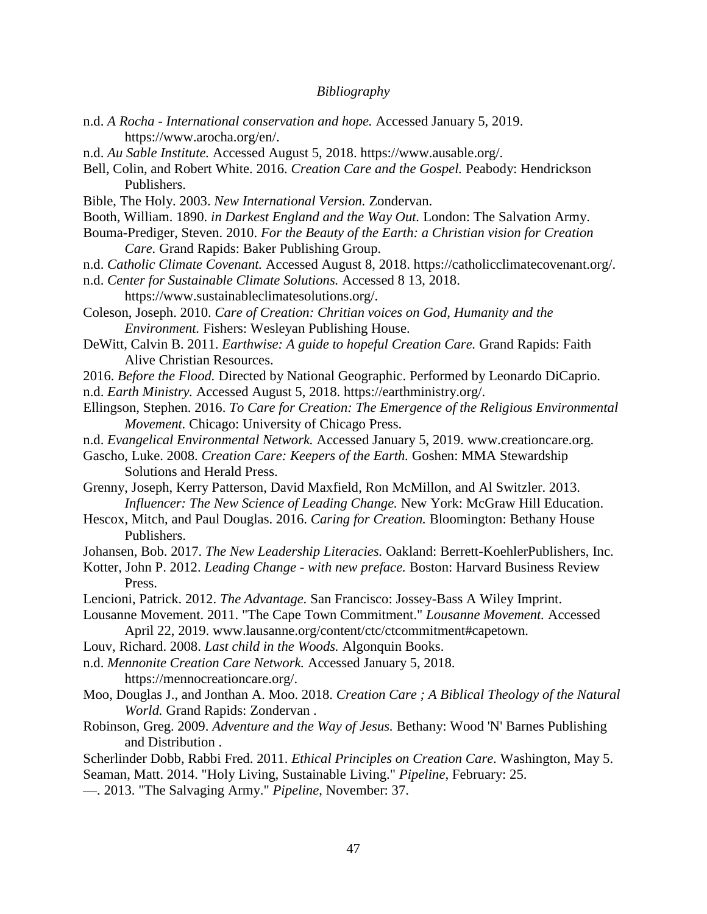#### *Bibliography*

- n.d. *A Rocha - International conservation and hope.* Accessed January 5, 2019. https://www.arocha.org/en/.
- n.d. *Au Sable Institute.* Accessed August 5, 2018. https://www.ausable.org/.
- Bell, Colin, and Robert White. 2016. *Creation Care and the Gospel.* Peabody: Hendrickson Publishers.
- Bible, The Holy. 2003. *New International Version.* Zondervan.
- Booth, William. 1890. *in Darkest England and the Way Out.* London: The Salvation Army.
- Bouma-Prediger, Steven. 2010. *For the Beauty of the Earth: a Christian vision for Creation Care.* Grand Rapids: Baker Publishing Group.
- n.d. *Catholic Climate Covenant.* Accessed August 8, 2018. https://catholicclimatecovenant.org/.
- n.d. *Center for Sustainable Climate Solutions.* Accessed 8 13, 2018.
	- https://www.sustainableclimatesolutions.org/.
- Coleson, Joseph. 2010. *Care of Creation: Chritian voices on God, Humanity and the Environment.* Fishers: Wesleyan Publishing House.
- DeWitt, Calvin B. 2011. *Earthwise: A guide to hopeful Creation Care.* Grand Rapids: Faith Alive Christian Resources.
- 2016. *Before the Flood.* Directed by National Geographic. Performed by Leonardo DiCaprio.
- n.d. *Earth Ministry.* Accessed August 5, 2018. https://earthministry.org/.
- Ellingson, Stephen. 2016. *To Care for Creation: The Emergence of the Religious Environmental Movement.* Chicago: University of Chicago Press.
- n.d. *Evangelical Environmental Network.* Accessed January 5, 2019. www.creationcare.org.
- Gascho, Luke. 2008. *Creation Care: Keepers of the Earth.* Goshen: MMA Stewardship Solutions and Herald Press.
- Grenny, Joseph, Kerry Patterson, David Maxfield, Ron McMillon, and Al Switzler. 2013. *Influencer: The New Science of Leading Change.* New York: McGraw Hill Education.
- Hescox, Mitch, and Paul Douglas. 2016. *Caring for Creation.* Bloomington: Bethany House Publishers.
- Johansen, Bob. 2017. *The New Leadership Literacies.* Oakland: Berrett-KoehlerPublishers, Inc.
- Kotter, John P. 2012. *Leading Change - with new preface.* Boston: Harvard Business Review Press.
- Lencioni, Patrick. 2012. *The Advantage.* San Francisco: Jossey-Bass A Wiley Imprint.
- Lousanne Movement. 2011. "The Cape Town Commitment." *Lousanne Movement.* Accessed April 22, 2019. www.lausanne.org/content/ctc/ctcommitment#capetown.
- Louv, Richard. 2008. *Last child in the Woods.* Algonquin Books.
- n.d. *Mennonite Creation Care Network.* Accessed January 5, 2018. https://mennocreationcare.org/.
- Moo, Douglas J., and Jonthan A. Moo. 2018. *Creation Care ; A Biblical Theology of the Natural World.* Grand Rapids: Zondervan .
- Robinson, Greg. 2009. *Adventure and the Way of Jesus.* Bethany: Wood 'N' Barnes Publishing and Distribution .
- Scherlinder Dobb, Rabbi Fred. 2011. *Ethical Principles on Creation Care.* Washington, May 5. Seaman, Matt. 2014. "Holy Living, Sustainable Living." *Pipeline*, February: 25.
- —. 2013. "The Salvaging Army." *Pipeline*, November: 37.